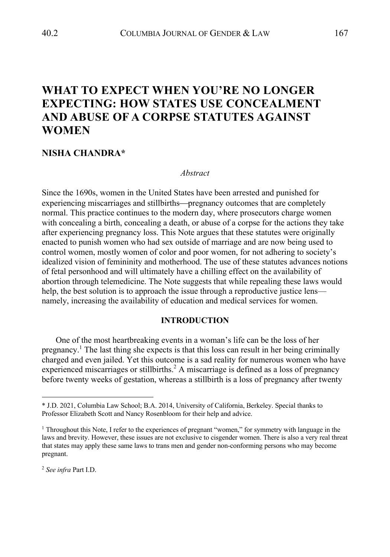# **WHAT TO EXPECT WHEN YOU'RE NO LONGER EXPECTING: HOW STATES USE CONCEALMENT AND ABUSE OF A CORPSE STATUTES AGAINST WOMEN**

# **NISHA CHANDRA\***

#### *Abstract*

Since the 1690s, women in the United States have been arrested and punished for experiencing miscarriages and stillbirths—pregnancy outcomes that are completely normal. This practice continues to the modern day, where prosecutors charge women with concealing a birth, concealing a death, or abuse of a corpse for the actions they take after experiencing pregnancy loss. This Note argues that these statutes were originally enacted to punish women who had sex outside of marriage and are now being used to control women, mostly women of color and poor women, for not adhering to society's idealized vision of femininity and motherhood. The use of these statutes advances notions of fetal personhood and will ultimately have a chilling effect on the availability of abortion through telemedicine. The Note suggests that while repealing these laws would help, the best solution is to approach the issue through a reproductive justice lens namely, increasing the availability of education and medical services for women.

#### **INTRODUCTION**

One of the most heartbreaking events in a woman's life can be the loss of her pregnancy.1 The last thing she expects is that this loss can result in her being criminally charged and even jailed. Yet this outcome is a sad reality for numerous women who have experienced miscarriages or stillbirths.<sup>2</sup> A miscarriage is defined as a loss of pregnancy before twenty weeks of gestation, whereas a stillbirth is a loss of pregnancy after twenty

<sup>2</sup> *See infra* Part I.D.

<sup>\*</sup> J.D. 2021, Columbia Law School; B.A. 2014, University of California, Berkeley. Special thanks to Professor Elizabeth Scott and Nancy Rosenbloom for their help and advice.

<sup>1</sup> Throughout this Note, I refer to the experiences of pregnant "women," for symmetry with language in the laws and brevity. However, these issues are not exclusive to cisgender women. There is also a very real threat that states may apply these same laws to trans men and gender non-conforming persons who may become pregnant.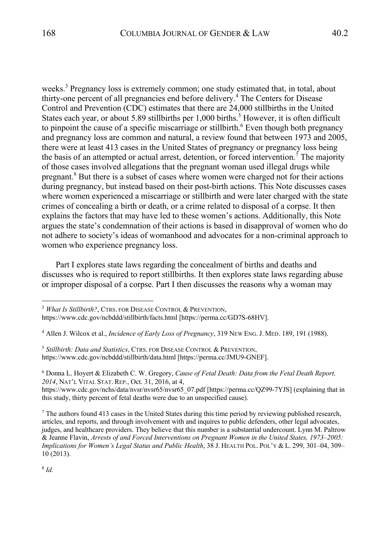weeks.<sup>3</sup> Pregnancy loss is extremely common; one study estimated that, in total, about thirty-one percent of all pregnancies end before delivery. <sup>4</sup> The Centers for Disease Control and Prevention (CDC) estimates that there are 24,000 stillbirths in the United States each year, or about 5.89 stillbirths per 1,000 births.<sup>5</sup> However, it is often difficult to pinpoint the cause of a specific miscarriage or stillbirth.<sup>6</sup> Even though both pregnancy and pregnancy loss are common and natural, a review found that between 1973 and 2005, there were at least 413 cases in the United States of pregnancy or pregnancy loss being the basis of an attempted or actual arrest, detention, or forced intervention.<sup>7</sup> The majority of those cases involved allegations that the pregnant woman used illegal drugs while pregnant.<sup>8</sup> But there is a subset of cases where women were charged not for their actions during pregnancy, but instead based on their post-birth actions. This Note discusses cases where women experienced a miscarriage or stillbirth and were later charged with the state crimes of concealing a birth or death, or a crime related to disposal of a corpse. It then explains the factors that may have led to these women's actions. Additionally, this Note argues the state's condemnation of their actions is based in disapproval of women who do not adhere to society's ideas of womanhood and advocates for a non-criminal approach to women who experience pregnancy loss.

Part I explores state laws regarding the concealment of births and deaths and discusses who is required to report stillbirths. It then explores state laws regarding abuse or improper disposal of a corpse. Part I then discusses the reasons why a woman may

<sup>6</sup> Donna L. Hoyert & Elizabeth C. W. Gregory, *Cause of Fetal Death: Data from the Fetal Death Report, 2014*, NAT'L VITAL STAT. REP., Oct. 31, 2016, at 4,

https://www.cdc.gov/nchs/data/nvsr/nvsr65/nvsr65\_07.pdf [https://perma.cc/QZ99-7YJS] (explaining that in this study, thirty percent of fetal deaths were due to an unspecified cause).

 $<sup>7</sup>$  The authors found 413 cases in the United States during this time period by reviewing published research,</sup> articles, and reports, and through involvement with and inquires to public defenders, other legal advocates, judges, and healthcare providers. They believe that this number is a substantial undercount. Lynn M. Paltrow & Jeanne Flavin, *Arrests of and Forced Interventions on Pregnant Women in the United States, 1973–2005: Implications for Women's Legal Status and Public Health*, 38 J. HEALTH POL. POL'Y & L. 299, 301–04, 309– 10 (2013).

<sup>3</sup> *What Is Stillbirth?*, CTRS. FOR DISEASE CONTROL & PREVENTION,

https://www.cdc.gov/ncbddd/stillbirth/facts.html [https://perma.cc/GD7S-68HV].

<sup>4</sup> Allen J. Wilcox et al., *Incidence of Early Loss of Pregnancy*, 319 NEW ENG.J. MED. 189, 191 (1988).

<sup>5</sup> *Stillbirth: Data and Statistics*, CTRS. FOR DISEASE CONTROL & PREVENTION, https://www.cdc.gov/ncbddd/stillbirth/data.html [https://perma.cc/JMU9-GNEF].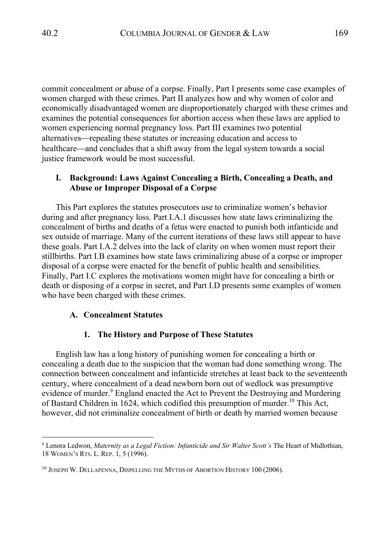commit concealment or abuse of a corpse. Finally, Part I presents some case examples of women charged with these crimes. Part II analyzes how and why women of color and economically disadvantaged women are disproportionately charged with these crimes and examines the potential consequences for abortion access when these laws are applied to women experiencing normal pregnancy loss. Part III examines two potential alternatives—repealing these statutes or increasing education and access to healthcare—and concludes that a shift away from the legal system towards a social justice framework would be most successful.

# **I. Background: Laws Against Concealing a Birth, Concealing a Death, and Abuse or Improper Disposal of a Corpse**

This Part explores the statutes prosecutors use to criminalize women's behavior during and after pregnancy loss. Part I.A.1 discusses how state laws criminalizing the concealment of births and deaths of a fetus were enacted to punish both infanticide and sex outside of marriage. Many of the current iterations of these laws still appear to have these goals. Part I.A.2 delves into the lack of clarity on when women must report their stillbirths. Part I.B examines how state laws criminalizing abuse of a corpse or improper disposal of a corpse were enacted for the benefit of public health and sensibilities. Finally, Part I.C explores the motivations women might have for concealing a birth or death or disposing of a corpse in secret, and Part I.D presents some examples of women who have been charged with these crimes.

# **A. Concealment Statutes**

#### **1. The History and Purpose of These Statutes**

English law has a long history of punishing women for concealing a birth or concealing a death due to the suspicion that the woman had done something wrong. The connection between concealment and infanticide stretches at least back to the seventeenth century, where concealment of a dead newborn born out of wedlock was presumptive evidence of murder.<sup>9</sup> England enacted the Act to Prevent the Destroying and Murdering of Bastard Children in 1624, which codified this presumption of murder.<sup>10</sup> This Act, however, did not criminalize concealment of birth or death by married women because

<sup>9</sup> Lenora Ledwon, *Maternity as a Legal Fiction: Infanticide and Sir Walter Scott's* The Heart of Midlothian, 18 WOMEN'S RTS. L. REP. 1, 5 (1996).

<sup>10</sup> JOSEPH W. DELLAPENNA, DISPELLING THE MYTHS OF ABORTION HISTORY 100 (2006).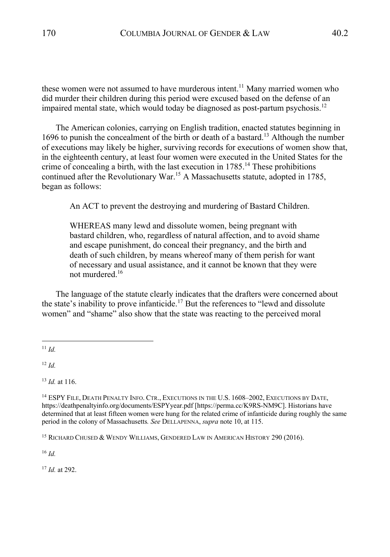these women were not assumed to have murderous intent.<sup>11</sup> Many married women who did murder their children during this period were excused based on the defense of an impaired mental state, which would today be diagnosed as post-partum psychosis.<sup>12</sup>

The American colonies, carrying on English tradition, enacted statutes beginning in 1696 to punish the concealment of the birth or death of a bastard.<sup>13</sup> Although the number of executions may likely be higher, surviving records for executions of women show that, in the eighteenth century, at least four women were executed in the United States for the crime of concealing a birth, with the last execution in 1785.<sup>14</sup> These prohibitions continued after the Revolutionary War. <sup>15</sup> A Massachusetts statute, adopted in 1785, began as follows:

An ACT to prevent the destroying and murdering of Bastard Children.

WHEREAS many lewd and dissolute women, being pregnant with bastard children, who, regardless of natural affection, and to avoid shame and escape punishment, do conceal their pregnancy, and the birth and death of such children, by means whereof many of them perish for want of necessary and usual assistance, and it cannot be known that they were not murdered.16

The language of the statute clearly indicates that the drafters were concerned about the state's inability to prove infanticide.<sup>17</sup> But the references to "lewd and dissolute women" and "shame" also show that the state was reacting to the perceived moral

<sup>11</sup> *Id.*

<sup>12</sup> *Id.*

<sup>13</sup> *Id.* at 116.

<sup>16</sup> *Id.*

<sup>17</sup> *Id.* at 292.

<sup>&</sup>lt;sup>14</sup> ESPY FILE, DEATH PENALTY INFO. CTR., EXECUTIONS IN THE U.S. 1608–2002, EXECUTIONS BY DATE, https://deathpenaltyinfo.org/documents/ESPYyear.pdf [https://perma.cc/K9RS-NM9C]. Historians have determined that at least fifteen women were hung for the related crime of infanticide during roughly the same period in the colony of Massachusetts*. See* DELLAPENNA, *supra* note 10, at 115.

<sup>&</sup>lt;sup>15</sup> RICHARD CHUSED & WENDY WILLIAMS, GENDERED LAW IN AMERICAN HISTORY 290 (2016).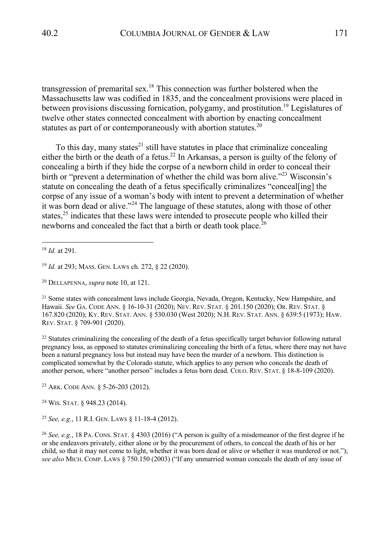transgression of premarital sex.<sup>18</sup> This connection was further bolstered when the Massachusetts law was codified in 1835, and the concealment provisions were placed in between provisions discussing fornication, polygamy, and prostitution.<sup>19</sup> Legislatures of twelve other states connected concealment with abortion by enacting concealment statutes as part of or contemporaneously with abortion statutes.<sup>20</sup>

To this day, many states<sup>21</sup> still have statutes in place that criminalize concealing either the birth or the death of a fetus.<sup>22</sup> In Arkansas, a person is guilty of the felony of concealing a birth if they hide the corpse of a newborn child in order to conceal their birth or "prevent a determination of whether the child was born alive."<sup>23</sup> Wisconsin's statute on concealing the death of a fetus specifically criminalizes "conceal[ing] the corpse of any issue of a woman's body with intent to prevent a determination of whether it was born dead or alive."<sup>24</sup> The language of these statutes, along with those of other states, $25$  indicates that these laws were intended to prosecute people who killed their newborns and concealed the fact that a birth or death took place.<sup>26</sup>

<sup>20</sup> DELLAPENNA, *supra* note 10, at 121.

<sup>21</sup> Some states with concealment laws include Georgia, Nevada, Oregon, Kentucky, New Hampshire, and Hawaii. *See* GA. CODE ANN. § 16-10-31 (2020); NEV. REV. STAT. § 201.150 (2020); OR. REV. STAT. § 167.820 (2020); KY. REV. STAT. ANN. § 530.030 (West 2020); N.H. REV. STAT. ANN. § 639:5 (1973); HAW. REV. STAT. § 709-901 (2020).

 $^{22}$  Statutes criminalizing the concealing of the death of a fetus specifically target behavior following natural pregnancy loss, as opposed to statutes criminalizing concealing the birth of a fetus, where there may not have been a natural pregnancy loss but instead may have been the murder of a newborn. This distinction is complicated somewhat by the Colorado statute, which applies to any person who conceals the death of another person, where "another person" includes a fetus born dead. COLO. REV. STAT. § 18-8-109 (2020).

<sup>23</sup> ARK. CODE ANN. § 5-26-203 (2012).

<sup>24</sup> WIS. STAT. § 948.23 (2014).

<sup>25</sup> *See, e.g.*, 11 R.I. GEN. LAWS § 11-18-4 (2012).

<sup>26</sup> *See, e.g.*, 18 PA. CONS. STAT. § 4303 (2016) ("A person is guilty of a misdemeanor of the first degree if he or she endeavors privately, either alone or by the procurement of others, to conceal the death of his or her child, so that it may not come to light, whether it was born dead or alive or whether it was murdered or not."); *see also* MICH. COMP. LAWS § 750.150 (2003) ("If any unmarried woman conceals the death of any issue of

<sup>18</sup> *Id.* at 291.

<sup>19</sup> *Id.* at 293; MASS. GEN. LAWS ch. 272, § 22 (2020).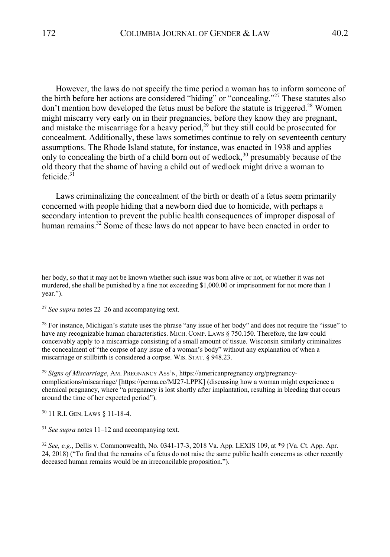However, the laws do not specify the time period a woman has to inform someone of the birth before her actions are considered "hiding" or "concealing."<sup>27</sup> These statutes also don't mention how developed the fetus must be before the statute is triggered.<sup>28</sup> Women might miscarry very early on in their pregnancies, before they know they are pregnant, and mistake the miscarriage for a heavy period, $^{29}$  but they still could be prosecuted for concealment. Additionally, these laws sometimes continue to rely on seventeenth century assumptions. The Rhode Island statute, for instance, was enacted in 1938 and applies only to concealing the birth of a child born out of wedlock,  $30$  presumably because of the old theory that the shame of having a child out of wedlock might drive a woman to feticide.<sup>31</sup>

Laws criminalizing the concealment of the birth or death of a fetus seem primarily concerned with people hiding that a newborn died due to homicide, with perhaps a secondary intention to prevent the public health consequences of improper disposal of human remains.<sup>32</sup> Some of these laws do not appear to have been enacted in order to

<sup>28</sup> For instance, Michigan's statute uses the phrase "any issue of her body" and does not require the "issue" to have any recognizable human characteristics. MICH. COMP. LAWS § 750.150. Therefore, the law could conceivably apply to a miscarriage consisting of a small amount of tissue. Wisconsin similarly criminalizes the concealment of "the corpse of any issue of a woman's body" without any explanation of when a miscarriage or stillbirth is considered a corpse. WIS. STAT. § 948.23.

<sup>29</sup> *Signs of Miscarriage*, AM. PREGNANCY ASS'N, https://americanpregnancy.org/pregnancycomplications/miscarriage/ [https://perma.cc/MJ27-LPPK] (discussing how a woman might experience a chemical pregnancy, where "a pregnancy is lost shortly after implantation, resulting in bleeding that occurs around the time of her expected period").

<sup>30</sup> 11 R.I. GEN. LAWS § 11-18-4.

<sup>31</sup> *See supra* notes 11–12 and accompanying text.

her body, so that it may not be known whether such issue was born alive or not, or whether it was not murdered, she shall be punished by a fine not exceeding \$1,000.00 or imprisonment for not more than 1 year.").

<sup>27</sup> *See supra* notes 22–26 and accompanying text.

<sup>32</sup> *See, e.g.*, Dellis v. Commonwealth, No. 0341-17-3, 2018 Va. App. LEXIS 109, at \*9 (Va. Ct. App. Apr. 24, 2018) ("To find that the remains of a fetus do not raise the same public health concerns as other recently deceased human remains would be an irreconcilable proposition.").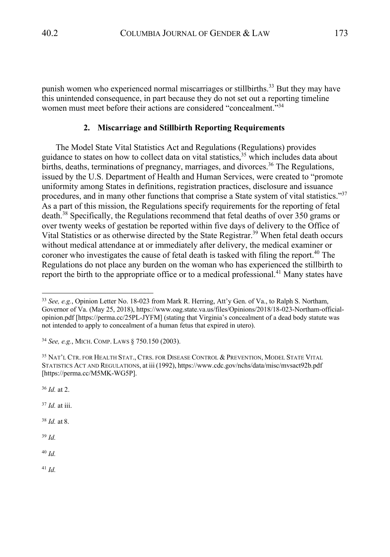punish women who experienced normal miscarriages or stillbirths.<sup>33</sup> But they may have this unintended consequence, in part because they do not set out a reporting timeline women must meet before their actions are considered "concealment."<sup>34</sup>

## **2. Miscarriage and Stillbirth Reporting Requirements**

The Model State Vital Statistics Act and Regulations (Regulations) provides guidance to states on how to collect data on vital statistics, <sup>35</sup> which includes data about births, deaths, terminations of pregnancy, marriages, and divorces. <sup>36</sup> The Regulations, issued by the U.S. Department of Health and Human Services, were created to "promote uniformity among States in definitions, registration practices, disclosure and issuance procedures, and in many other functions that comprise a State system of vital statistics."<sup>37</sup> As a part of this mission, the Regulations specify requirements for the reporting of fetal death.<sup>38</sup> Specifically, the Regulations recommend that fetal deaths of over 350 grams or over twenty weeks of gestation be reported within five days of delivery to the Office of Vital Statistics or as otherwise directed by the State Registrar.<sup>39</sup> When fetal death occurs without medical attendance at or immediately after delivery, the medical examiner or coroner who investigates the cause of fetal death is tasked with filing the report.<sup>40</sup> The Regulations do not place any burden on the woman who has experienced the stillbirth to report the birth to the appropriate office or to a medical professional.<sup>41</sup> Many states have

<sup>36</sup> *Id.* at 2.

<sup>37</sup> *Id.* at iii.

<sup>38</sup> *Id.* at 8.

<sup>39</sup> *Id.*

<sup>40</sup> *Id.*

<sup>33</sup> *See, e.g.*, Opinion Letter No. 18-023 from Mark R. Herring, Att'y Gen. of Va., to Ralph S. Northam, Governor of Va. (May 25, 2018), https://www.oag.state.va.us/files/Opinions/2018/18-023-Northam-officialopinion.pdf [https://perma.cc/25PL-JYFM] (stating that Virginia's concealment of a dead body statute was not intended to apply to concealment of a human fetus that expired in utero).

<sup>34</sup> *See, e.g.*, MICH. COMP. LAWS § 750.150 (2003).

<sup>&</sup>lt;sup>35</sup> NAT'L CTR. FOR HEALTH STAT., CTRS. FOR DISEASE CONTROL & PREVENTION, MODEL STATE VITAL STATISTICS ACT AND REGULATIONS, at iii (1992), https://www.cdc.gov/nchs/data/misc/mvsact92b.pdf [https://perma.cc/M5MK-WG5P].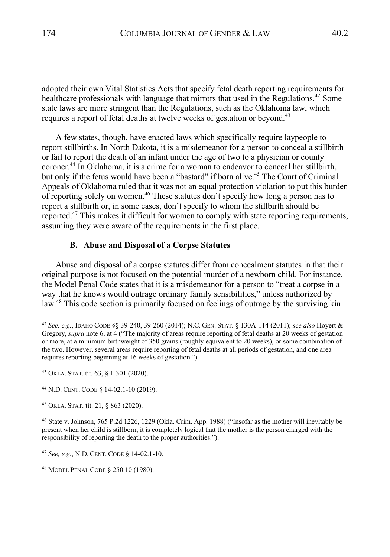adopted their own Vital Statistics Acts that specify fetal death reporting requirements for healthcare professionals with language that mirrors that used in the Regulations.<sup>42</sup> Some state laws are more stringent than the Regulations, such as the Oklahoma law, which requires a report of fetal deaths at twelve weeks of gestation or beyond.<sup>43</sup>

A few states, though, have enacted laws which specifically require laypeople to report stillbirths. In North Dakota, it is a misdemeanor for a person to conceal a stillbirth or fail to report the death of an infant under the age of two to a physician or county coroner.44 In Oklahoma, it is a crime for a woman to endeavor to conceal her stillbirth, but only if the fetus would have been a "bastard" if born alive. <sup>45</sup> The Court of Criminal Appeals of Oklahoma ruled that it was not an equal protection violation to put this burden of reporting solely on women.<sup>46</sup> These statutes don't specify how long a person has to report a stillbirth or, in some cases, don't specify to whom the stillbirth should be reported.<sup>47</sup> This makes it difficult for women to comply with state reporting requirements, assuming they were aware of the requirements in the first place.

## **B. Abuse and Disposal of a Corpse Statutes**

Abuse and disposal of a corpse statutes differ from concealment statutes in that their original purpose is not focused on the potential murder of a newborn child. For instance, the Model Penal Code states that it is a misdemeanor for a person to "treat a corpse in a way that he knows would outrage ordinary family sensibilities," unless authorized by law.<sup>48</sup> This code section is primarily focused on feelings of outrage by the surviving kin

<sup>42</sup> *See, e.g.*, IDAHO CODE §§ 39-240, 39-260 (2014); N.C. GEN. STAT. § 130A-114 (2011); *see also* Hoyert & Gregory, *supra* note 6, at 4 ("The majority of areas require reporting of fetal deaths at 20 weeks of gestation or more, at a minimum birthweight of 350 grams (roughly equivalent to 20 weeks), or some combination of the two. However, several areas require reporting of fetal deaths at all periods of gestation, and one area requires reporting beginning at 16 weeks of gestation.").

<sup>43</sup> OKLA. STAT. tit. 63, § 1-301 (2020).

<sup>44</sup> N.D. CENT. CODE § 14-02.1-10 (2019).

<sup>45</sup> OKLA. STAT. tit. 21, § 863 (2020).

<sup>46</sup> State v. Johnson, 765 P.2d 1226, 1229 (Okla. Crim. App. 1988) ("Insofar as the mother will inevitably be present when her child is stillborn, it is completely logical that the mother is the person charged with the responsibility of reporting the death to the proper authorities.").

<sup>47</sup> *See, e.g.*, N.D. CENT. CODE § 14-02.1-10.

<sup>48</sup> MODEL PENAL CODE § 250.10 (1980).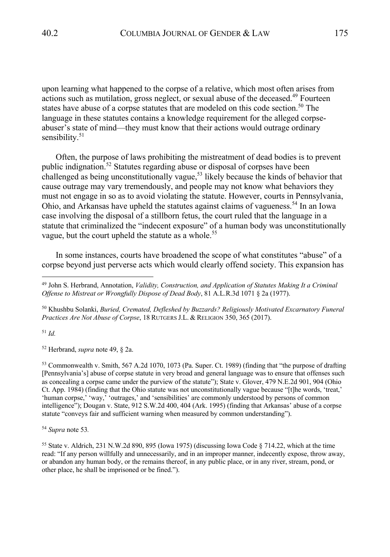upon learning what happened to the corpse of a relative, which most often arises from actions such as mutilation, gross neglect, or sexual abuse of the deceased. <sup>49</sup> Fourteen states have abuse of a corpse statutes that are modeled on this code section.<sup>50</sup> The language in these statutes contains a knowledge requirement for the alleged corpseabuser's state of mind—they must know that their actions would outrage ordinary sensibility.<sup>51</sup>

Often, the purpose of laws prohibiting the mistreatment of dead bodies is to prevent public indignation. <sup>52</sup> Statutes regarding abuse or disposal of corpses have been challenged as being unconstitutionally vague,<sup>53</sup> likely because the kinds of behavior that cause outrage may vary tremendously, and people may not know what behaviors they must not engage in so as to avoid violating the statute. However, courts in Pennsylvania, Ohio, and Arkansas have upheld the statutes against claims of vagueness.<sup>54</sup> In an Iowa case involving the disposal of a stillborn fetus, the court ruled that the language in a statute that criminalized the "indecent exposure" of a human body was unconstitutionally vague, but the court upheld the statute as a whole.<sup>55</sup>

In some instances, courts have broadened the scope of what constitutes "abuse" of a corpse beyond just perverse acts which would clearly offend society. This expansion has

<sup>50</sup> Khushbu Solanki, *Buried, Cremated, Defleshed by Buzzards? Religiously Motivated Excarnatory Funeral Practices Are Not Abuse of Corpse*, 18 RUTGERS J.L. & RELIGION 350, 365 (2017).

<sup>51</sup> *Id.*

<sup>52</sup> Herbrand, *supra* note 49, § 2a.

<sup>53</sup> Commonwealth v. Smith, 567 A.2d 1070, 1073 (Pa. Super. Ct. 1989) (finding that "the purpose of drafting [Pennsylvania's] abuse of corpse statute in very broad and general language was to ensure that offenses such as concealing a corpse came under the purview of the statute"); State v. Glover, 479 N.E.2d 901, 904 (Ohio Ct. App. 1984) (finding that the Ohio statute was not unconstitutionally vague because "[t]he words, 'treat,' 'human corpse,' 'way,' 'outrages,' and 'sensibilities' are commonly understood by persons of common intelligence"); Dougan v. State, 912 S.W.2d 400, 404 (Ark. 1995) (finding that Arkansas' abuse of a corpse statute "conveys fair and sufficient warning when measured by common understanding").

<sup>54</sup> *Supra* note 53*.*

<sup>55</sup> State v. Aldrich, 231 N.W.2d 890, 895 (Iowa 1975) (discussing Iowa Code § 714.22, which at the time read: "If any person willfully and unnecessarily, and in an improper manner, indecently expose, throw away, or abandon any human body, or the remains thereof, in any public place, or in any river, stream, pond, or other place, he shall be imprisoned or be fined.").

<sup>49</sup> John S. Herbrand, Annotation, *Validity, Construction, and Application of Statutes Making It a Criminal Offense to Mistreat or Wrongfully Dispose of Dead Body*, 81 A.L.R.3d 1071 § 2a (1977).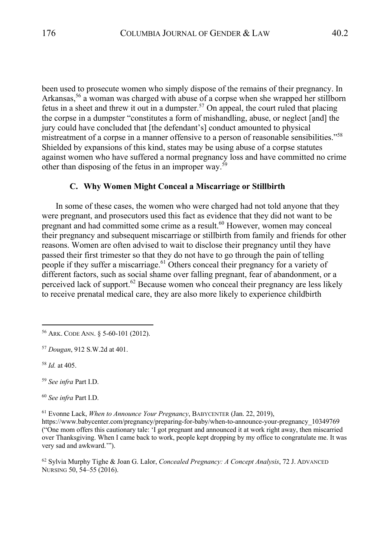been used to prosecute women who simply dispose of the remains of their pregnancy. In Arkansas,<sup>56</sup> a woman was charged with abuse of a corpse when she wrapped her stillborn fetus in a sheet and threw it out in a dumpster.<sup>57</sup> On appeal, the court ruled that placing the corpse in a dumpster "constitutes a form of mishandling, abuse, or neglect [and] the jury could have concluded that [the defendant's] conduct amounted to physical mistreatment of a corpse in a manner offensive to a person of reasonable sensibilities."<sup>58</sup> Shielded by expansions of this kind, states may be using abuse of a corpse statutes against women who have suffered a normal pregnancy loss and have committed no crime other than disposing of the fetus in an improper way.<sup>59</sup>

## **C. Why Women Might Conceal a Miscarriage or Stillbirth**

In some of these cases, the women who were charged had not told anyone that they were pregnant, and prosecutors used this fact as evidence that they did not want to be pregnant and had committed some crime as a result. <sup>60</sup> However, women may conceal their pregnancy and subsequent miscarriage or stillbirth from family and friends for other reasons. Women are often advised to wait to disclose their pregnancy until they have passed their first trimester so that they do not have to go through the pain of telling people if they suffer a miscarriage.<sup>61</sup> Others conceal their pregnancy for a variety of different factors, such as social shame over falling pregnant, fear of abandonment, or a perceived lack of support.<sup>62</sup> Because women who conceal their pregnancy are less likely to receive prenatal medical care, they are also more likely to experience childbirth

<sup>58</sup> *Id.* at 405.

<sup>60</sup> *See infra* Part I.D.

<sup>61</sup> Evonne Lack, *When to Announce Your Pregnancy*, BABYCENTER (Jan. 22, 2019),

https://www.babycenter.com/pregnancy/preparing-for-baby/when-to-announce-your-pregnancy\_10349769 ("One mom offers this cautionary tale: 'I got pregnant and announced it at work right away, then miscarried over Thanksgiving. When I came back to work, people kept dropping by my office to congratulate me. It was very sad and awkward.'").

<sup>62</sup> Sylvia Murphy Tighe & Joan G. Lalor, *Concealed Pregnancy: A Concept Analysis*, 72 J. ADVANCED NURSING 50, 54–55 (2016).

<sup>56</sup> ARK. CODE ANN. § 5-60-101 (2012).

<sup>57</sup> *Dougan*, 912 S.W.2d at 401.

<sup>59</sup> *See infra* Part I.D.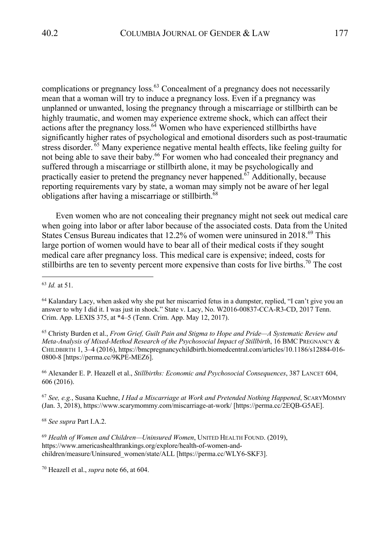complications or pregnancy loss.<sup>63</sup> Concealment of a pregnancy does not necessarily mean that a woman will try to induce a pregnancy loss. Even if a pregnancy was unplanned or unwanted, losing the pregnancy through a miscarriage or stillbirth can be highly traumatic, and women may experience extreme shock, which can affect their actions after the pregnancy  $loss^{64}$  Women who have experienced stillbirths have significantly higher rates of psychological and emotional disorders such as post-traumatic stress disorder.<sup>65</sup> Many experience negative mental health effects, like feeling guilty for not being able to save their baby.<sup>66</sup> For women who had concealed their pregnancy and suffered through a miscarriage or stillbirth alone, it may be psychologically and practically easier to pretend the pregnancy never happened.<sup>67</sup> Additionally, because reporting requirements vary by state, a woman may simply not be aware of her legal obligations after having a miscarriage or stillbirth.<sup>68</sup>

Even women who are not concealing their pregnancy might not seek out medical care when going into labor or after labor because of the associated costs. Data from the United States Census Bureau indicates that 12.2% of women were uninsured in 2018.<sup>69</sup> This large portion of women would have to bear all of their medical costs if they sought medical care after pregnancy loss. This medical care is expensive; indeed, costs for stillbirths are ten to seventy percent more expensive than costs for live births.<sup>70</sup> The cost

<sup>65</sup> Christy Burden et al., *From Grief, Guilt Pain and Stigma to Hope and Pride—A Systematic Review and Meta-Analysis of Mixed-Method Research of the Psychosocial Impact of Stillbirth*, 16 BMC PREGNANCY & CHILDBIRTH 1, 3–4 (2016), https://bmcpregnancychildbirth.biomedcentral.com/articles/10.1186/s12884-016- 0800-8 [https://perma.cc/9KPE-MEZ6].

<sup>66</sup> Alexander E. P. Heazell et al., *Stillbirths: Economic and Psychosocial Consequences*, 387 LANCET 604, 606 (2016).

<sup>67</sup> *See, e.g.*, Susana Kuehne, *I Had a Miscarriage at Work and Pretended Nothing Happened*, SCARYMOMMY (Jan. 3, 2018), https://www.scarymommy.com/miscarriage-at-work/ [https://perma.cc/2EQB-G5AE].

<sup>68</sup> *See supra* Part I.A.2.

<sup>69</sup> *Health of Women and Children—Uninsured Women*, UNITED HEALTH FOUND. (2019), https://www.americashealthrankings.org/explore/health-of-women-andchildren/measure/Uninsured\_women/state/ALL [https://perma.cc/WLY6-SKF3].

<sup>70</sup> Heazell et al., *supra* note 66, at 604.

<sup>63</sup> *Id.* at 51.

<sup>&</sup>lt;sup>64</sup> Kalandary Lacy, when asked why she put her miscarried fetus in a dumpster, replied, "I can't give you an answer to why I did it. I was just in shock." State v. Lacy, No. W2016-00837-CCA-R3-CD, 2017 Tenn. Crim. App. LEXIS 375, at \*4–5 (Tenn. Crim. App. May 12, 2017).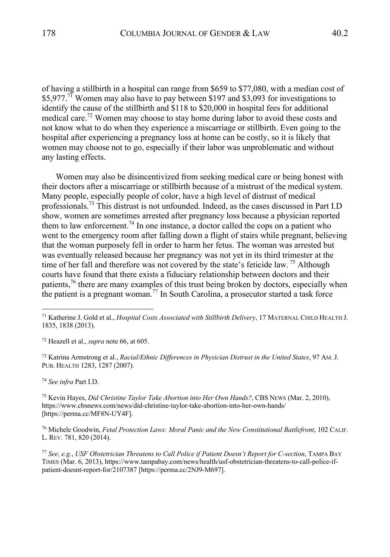of having a stillbirth in a hospital can range from \$659 to \$77,080, with a median cost of  $$5,977$ .<sup>71</sup> Women may also have to pay between \$197 and \$3,093 for investigations to identify the cause of the stillbirth and \$118 to \$20,000 in hospital fees for additional medical care.<sup>72</sup> Women may choose to stay home during labor to avoid these costs and not know what to do when they experience a miscarriage or stillbirth. Even going to the hospital after experiencing a pregnancy loss at home can be costly, so it is likely that women may choose not to go, especially if their labor was unproblematic and without any lasting effects.

Women may also be disincentivized from seeking medical care or being honest with their doctors after a miscarriage or stillbirth because of a mistrust of the medical system. Many people, especially people of color, have a high level of distrust of medical professionals.73 This distrust is not unfounded. Indeed, as the cases discussed in Part I.D show, women are sometimes arrested after pregnancy loss because a physician reported them to law enforcement.<sup>74</sup> In one instance, a doctor called the cops on a patient who went to the emergency room after falling down a flight of stairs while pregnant, believing that the woman purposely fell in order to harm her fetus. The woman was arrested but was eventually released because her pregnancy was not yet in its third trimester at the time of her fall and therefore was not covered by the state's feticide law.<sup>75</sup> Although courts have found that there exists a fiduciary relationship between doctors and their patients,76 there are many examples of this trust being broken by doctors, especially when the patient is a pregnant woman.<sup>77</sup> In South Carolina, a prosecutor started a task force

<sup>72</sup> Heazell et al., *supra* note 66, at 605.

<sup>73</sup> Katrina Armstrong et al., *Racial/Ethnic Differences in Physician Distrust in the United States*, 97 AM.J. PUB. HEALTH 1283, 1287 (2007).

<sup>74</sup> *See infra* Part I.D.

<sup>75</sup> Kevin Hayes, *Did Christine Taylor Take Abortion into Her Own Hands?*, CBS NEWS (Mar. 2, 2010), https://www.cbsnews.com/news/did-christine-taylor-take-abortion-into-her-own-hands/ [https://perma.cc/MF8N-UY4F].

<sup>76</sup> Michele Goodwin, *Fetal Protection Laws: Moral Panic and the New Constitutional Battlefront*, 102 CALIF. L. REV. 781, 820 (2014).

<sup>77</sup> *See, e.g.*, *USF Obstetrician Threatens to Call Police if Patient Doesn't Report for C-section*, TAMPA BAY TIMES (Mar. 6, 2013), https://www.tampabay.com/news/health/usf-obstetrician-threatens-to-call-police-ifpatient-doesnt-report-for/2107387 [https://perma.cc/2NJ9-M697].

<sup>71</sup> Katherine J. Gold et al., *Hospital Costs Associated with Stillbirth Delivery*, 17 MATERNAL CHILD HEALTH J. 1835, 1838 (2013).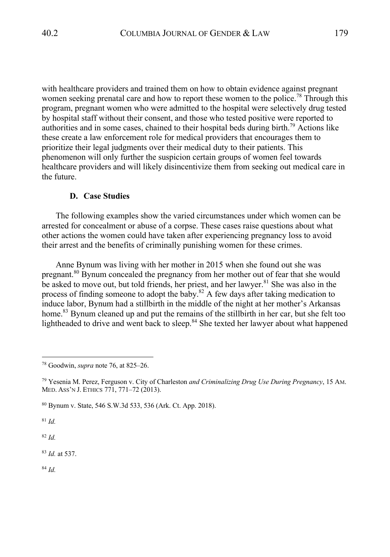with healthcare providers and trained them on how to obtain evidence against pregnant women seeking prenatal care and how to report these women to the police.<sup>78</sup> Through this program, pregnant women who were admitted to the hospital were selectively drug tested by hospital staff without their consent, and those who tested positive were reported to authorities and in some cases, chained to their hospital beds during birth.<sup>79</sup> Actions like these create a law enforcement role for medical providers that encourages them to prioritize their legal judgments over their medical duty to their patients. This phenomenon will only further the suspicion certain groups of women feel towards healthcare providers and will likely disincentivize them from seeking out medical care in the future.

## **D. Case Studies**

The following examples show the varied circumstances under which women can be arrested for concealment or abuse of a corpse. These cases raise questions about what other actions the women could have taken after experiencing pregnancy loss to avoid their arrest and the benefits of criminally punishing women for these crimes.

Anne Bynum was living with her mother in 2015 when she found out she was pregnant.<sup>80</sup> Bynum concealed the pregnancy from her mother out of fear that she would be asked to move out, but told friends, her priest, and her lawyer. $81$  She was also in the process of finding someone to adopt the baby.<sup>82</sup> A few days after taking medication to induce labor, Bynum had a stillbirth in the middle of the night at her mother's Arkansas home.<sup>83</sup> Bynum cleaned up and put the remains of the stillbirth in her car, but she felt too lightheaded to drive and went back to sleep.<sup>84</sup> She texted her lawyer about what happened

<sup>81</sup> *Id.*

<sup>82</sup> *Id.*

<sup>83</sup> *Id.* at 537.

<sup>78</sup> Goodwin, *supra* note 76, at 825–26.

<sup>79</sup> Yesenia M. Perez, Ferguson v. City of Charleston *and Criminalizing Drug Use During Pregnancy*, 15 AM. MED. ASS'N J. ETHICS 771, 771–72 (2013).

<sup>80</sup> Bynum v. State, 546 S.W.3d 533, 536 (Ark. Ct. App. 2018).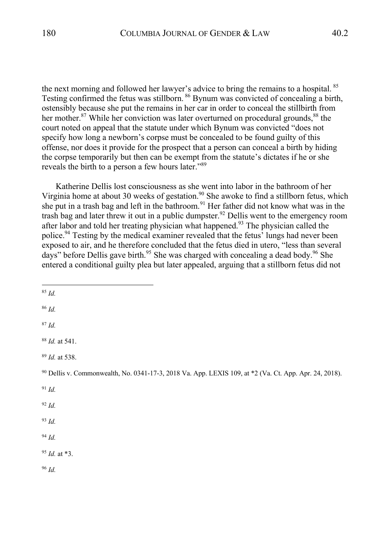the next morning and followed her lawyer's advice to bring the remains to a hospital. <sup>85</sup> Testing confirmed the fetus was stillborn. <sup>86</sup> Bynum was convicted of concealing a birth, ostensibly because she put the remains in her car in order to conceal the stillbirth from her mother.<sup>87</sup> While her conviction was later overturned on procedural grounds,  $88$  the court noted on appeal that the statute under which Bynum was convicted "does not specify how long a newborn's corpse must be concealed to be found guilty of this offense, nor does it provide for the prospect that a person can conceal a birth by hiding the corpse temporarily but then can be exempt from the statute's dictates if he or she reveals the birth to a person a few hours later."<sup>89</sup>

Katherine Dellis lost consciousness as she went into labor in the bathroom of her Virginia home at about 30 weeks of gestation.<sup>90</sup> She awoke to find a stillborn fetus, which she put in a trash bag and left in the bathroom.<sup>91</sup> Her father did not know what was in the trash bag and later threw it out in a public dumpster.<sup>92</sup> Dellis went to the emergency room after labor and told her treating physician what happened.<sup>93</sup> The physician called the police.<sup>94</sup> Testing by the medical examiner revealed that the fetus<sup>7</sup> lungs had never been exposed to air, and he therefore concluded that the fetus died in utero, "less than several days" before Dellis gave birth.<sup>95</sup> She was charged with concealing a dead body.<sup>96</sup> She entered a conditional guilty plea but later appealed, arguing that a stillborn fetus did not

<sup>85</sup> *Id.*

<sup>86</sup> *Id.*

<sup>87</sup> *Id.*

<sup>88</sup> *Id.* at 541.

<sup>89</sup> *Id.* at 538.

<sup>90</sup> Dellis v. Commonwealth, No. 0341-17-3, 2018 Va. App. LEXIS 109, at \*2 (Va. Ct. App. Apr. 24, 2018).

- <sup>91</sup> *Id.*
- <sup>92</sup> *Id.*
- <sup>93</sup> *Id.*
- <sup>94</sup> *Id.*
- <sup>95</sup> *Id.* at \*3.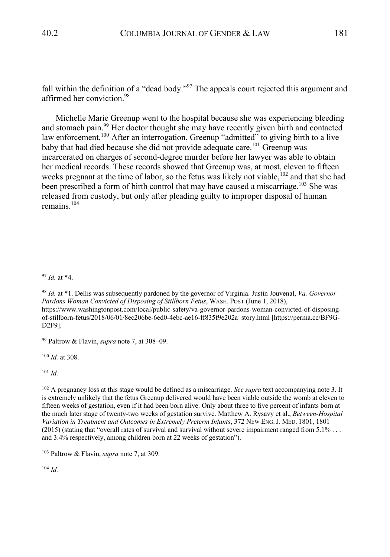fall within the definition of a "dead body."<sup>97</sup> The appeals court rejected this argument and affirmed her conviction.<sup>98</sup>

Michelle Marie Greenup went to the hospital because she was experiencing bleeding and stomach pain.<sup>99</sup> Her doctor thought she may have recently given birth and contacted law enforcement.<sup>100</sup> After an interrogation, Greenup "admitted" to giving birth to a live baby that had died because she did not provide adequate care.<sup>101</sup> Greenup was incarcerated on charges of second-degree murder before her lawyer was able to obtain her medical records. These records showed that Greenup was, at most, eleven to fifteen weeks pregnant at the time of labor, so the fetus was likely not viable, $102$  and that she had been prescribed a form of birth control that may have caused a miscarriage.<sup>103</sup> She was released from custody, but only after pleading guilty to improper disposal of human remains. $104$ 

<sup>99</sup> Paltrow & Flavin, *supra* note 7, at 308–09.

<sup>100</sup> *Id.* at 308.

<sup>101</sup> *Id.*

<sup>102</sup> A pregnancy loss at this stage would be defined as a miscarriage. *See supra* text accompanying note 3. It is extremely unlikely that the fetus Greenup delivered would have been viable outside the womb at eleven to fifteen weeks of gestation, even if it had been born alive. Only about three to five percent of infants born at the much later stage of twenty-two weeks of gestation survive. Matthew A. Rysavy et al., *Between-Hospital Variation in Treatment and Outcomes in Extremely Preterm Infants*, 372 NEW ENG.J. MED. 1801, 1801 (2015) (stating that "overall rates of survival and survival without severe impairment ranged from 5.1% . . . and 3.4% respectively, among children born at 22 weeks of gestation").

<sup>103</sup> Paltrow & Flavin, *supra* note 7, at 309.

<sup>97</sup> *Id.* at \*4.

<sup>98</sup> *Id.* at \*1. Dellis was subsequently pardoned by the governor of Virginia. Justin Jouvenal, *Va. Governor Pardons Woman Convicted of Disposing of Stillborn Fetus*, WASH. POST (June 1, 2018), https://www.washingtonpost.com/local/public-safety/va-governor-pardons-woman-convicted-of-disposingof-stillborn-fetus/2018/06/01/8ec206be-6ed0-4ebc-ae16-ff835f9e202a\_story.html [https://perma.cc/BF9G-D2F9].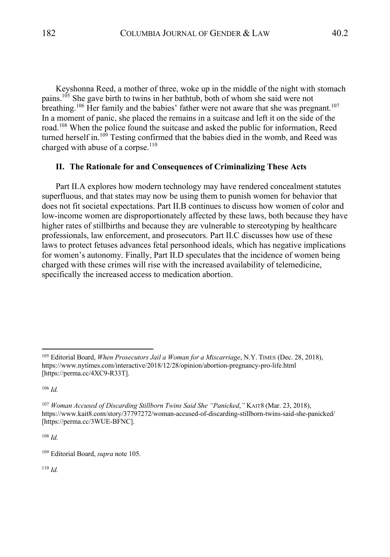Keyshonna Reed, a mother of three, woke up in the middle of the night with stomach pains.<sup>105</sup> She gave birth to twins in her bathtub, both of whom she said were not breathing.<sup>106</sup> Her family and the babies' father were not aware that she was pregnant.<sup>107</sup> In a moment of panic, she placed the remains in a suitcase and left it on the side of the road.<sup>108</sup> When the police found the suitcase and asked the public for information, Reed turned herself in.<sup>109</sup> Testing confirmed that the babies died in the womb, and Reed was charged with abuse of a corpse.<sup>110</sup>

# **II. The Rationale for and Consequences of Criminalizing These Acts**

Part II.A explores how modern technology may have rendered concealment statutes superfluous, and that states may now be using them to punish women for behavior that does not fit societal expectations. Part II.B continues to discuss how women of color and low-income women are disproportionately affected by these laws, both because they have higher rates of stillbirths and because they are vulnerable to stereotyping by healthcare professionals, law enforcement, and prosecutors. Part II.C discusses how use of these laws to protect fetuses advances fetal personhood ideals, which has negative implications for women's autonomy. Finally, Part II.D speculates that the incidence of women being charged with these crimes will rise with the increased availability of telemedicine, specifically the increased access to medication abortion.

<sup>106</sup> *Id.*

<sup>108</sup> *Id.*

<sup>105</sup> Editorial Board, *When Prosecutors Jail a Woman for a Miscarriage*, N.Y. TIMES (Dec. 28, 2018), https://www.nytimes.com/interactive/2018/12/28/opinion/abortion-pregnancy-pro-life.html [https://perma.cc/4XC9-R33T].

<sup>107</sup> *Woman Accused of Discarding Stillborn Twins Said She "Panicked*,*"* KAIT8 (Mar. 23, 2018), https://www.kait8.com/story/37797272/woman-accused-of-discarding-stillborn-twins-said-she-panicked/ [https://perma.cc/3WUE-BFNC].

<sup>109</sup> Editorial Board, *supra* note 105.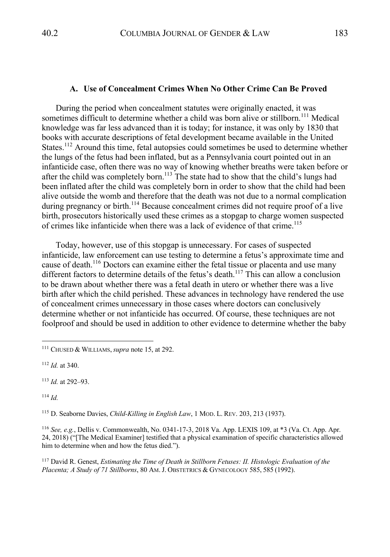#### **A. Use of Concealment Crimes When No Other Crime Can Be Proved**

During the period when concealment statutes were originally enacted, it was sometimes difficult to determine whether a child was born alive or stillborn.<sup>111</sup> Medical knowledge was far less advanced than it is today; for instance, it was only by 1830 that books with accurate descriptions of fetal development became available in the United States.<sup>112</sup> Around this time, fetal autopsies could sometimes be used to determine whether the lungs of the fetus had been inflated, but as a Pennsylvania court pointed out in an infanticide case, often there was no way of knowing whether breaths were taken before or after the child was completely born.<sup>113</sup> The state had to show that the child's lungs had been inflated after the child was completely born in order to show that the child had been alive outside the womb and therefore that the death was not due to a normal complication during pregnancy or birth.<sup>114</sup> Because concealment crimes did not require proof of a live birth, prosecutors historically used these crimes as a stopgap to charge women suspected of crimes like infanticide when there was a lack of evidence of that crime.<sup>115</sup>

Today, however, use of this stopgap is unnecessary. For cases of suspected infanticide, law enforcement can use testing to determine a fetus's approximate time and cause of death.<sup>116</sup> Doctors can examine either the fetal tissue or placenta and use many different factors to determine details of the fetus's death.<sup>117</sup> This can allow a conclusion to be drawn about whether there was a fetal death in utero or whether there was a live birth after which the child perished. These advances in technology have rendered the use of concealment crimes unnecessary in those cases where doctors can conclusively determine whether or not infanticide has occurred. Of course, these techniques are not foolproof and should be used in addition to other evidence to determine whether the baby

<sup>112</sup> *Id.* at 340.

<sup>113</sup> *Id.* at 292–93.

<sup>114</sup> *Id.*

<sup>115</sup> D. Seaborne Davies, *Child-Killing in English Law*, 1 MOD. L. REV. 203, 213 (1937).

<sup>116</sup> *See, e.g.*, Dellis v. Commonwealth, No. 0341-17-3, 2018 Va. App. LEXIS 109, at \*3 (Va. Ct. App. Apr. 24, 2018) ("[The Medical Examiner] testified that a physical examination of specific characteristics allowed him to determine when and how the fetus died.").

<sup>117</sup> David R. Genest, *Estimating the Time of Death in Stillborn Fetuses: II. Histologic Evaluation of the Placenta; A Study of 71 Stillborns*, 80 AM.J. OBSTETRICS & GYNECOLOGY 585, 585 (1992).

<sup>111</sup> CHUSED & WILLIAMS,*supra* note 15, at 292.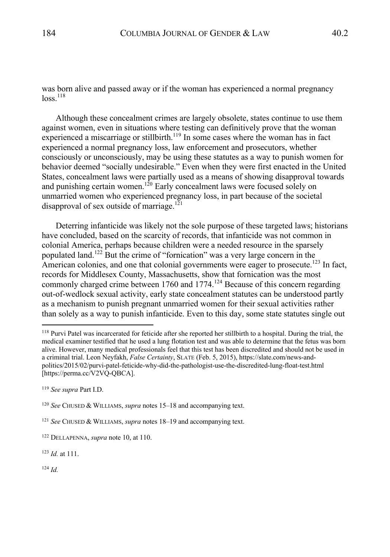was born alive and passed away or if the woman has experienced a normal pregnancy  $\log s$ <sup>118</sup>

Although these concealment crimes are largely obsolete, states continue to use them against women, even in situations where testing can definitively prove that the woman experienced a miscarriage or stillbirth.<sup>119</sup> In some cases where the woman has in fact experienced a normal pregnancy loss, law enforcement and prosecutors, whether consciously or unconsciously, may be using these statutes as a way to punish women for behavior deemed "socially undesirable." Even when they were first enacted in the United States, concealment laws were partially used as a means of showing disapproval towards and punishing certain women.<sup>120</sup> Early concealment laws were focused solely on unmarried women who experienced pregnancy loss, in part because of the societal disapproval of sex outside of marriage.<sup>121</sup>

Deterring infanticide was likely not the sole purpose of these targeted laws; historians have concluded, based on the scarcity of records, that infanticide was not common in colonial America, perhaps because children were a needed resource in the sparsely populated land.<sup>122</sup> But the crime of "fornication" was a very large concern in the American colonies, and one that colonial governments were eager to prosecute.<sup>123</sup> In fact, records for Middlesex County, Massachusetts, show that fornication was the most commonly charged crime between 1760 and 1774.<sup>124</sup> Because of this concern regarding out-of-wedlock sexual activity, early state concealment statutes can be understood partly as a mechanism to punish pregnant unmarried women for their sexual activities rather than solely as a way to punish infanticide. Even to this day, some state statutes single out

<sup>&</sup>lt;sup>118</sup> Purvi Patel was incarcerated for feticide after she reported her stillbirth to a hospital. During the trial, the medical examiner testified that he used a lung flotation test and was able to determine that the fetus was born alive. However, many medical professionals feel that this test has been discredited and should not be used in a criminal trial. Leon Neyfakh, *False Certainty*, SLATE (Feb. 5, 2015), https://slate.com/news-andpolitics/2015/02/purvi-patel-feticide-why-did-the-pathologist-use-the-discredited-lung-float-test.html [https://perma.cc/V2VQ-QBCA].

<sup>119</sup> *See supra* Part I.D.

<sup>120</sup> *See* CHUSED & WILLIAMS, *supra* notes 15–18 and accompanying text.

<sup>121</sup> *See* CHUSED & WILLIAMS, *supra* notes 18–19 and accompanying text.

<sup>122</sup> DELLAPENNA, *supra* note 10, at 110.

<sup>123</sup> *Id.* at 111.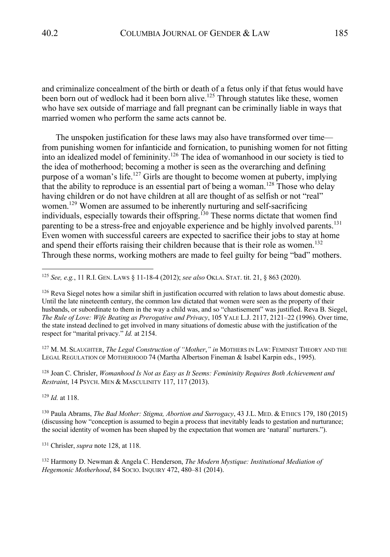and criminalize concealment of the birth or death of a fetus only if that fetus would have been born out of wedlock had it been born alive.<sup>125</sup> Through statutes like these, women who have sex outside of marriage and fall pregnant can be criminally liable in ways that married women who perform the same acts cannot be.

The unspoken justification for these laws may also have transformed over time from punishing women for infanticide and fornication, to punishing women for not fitting into an idealized model of femininity.126 The idea of womanhood in our society is tied to the idea of motherhood; becoming a mother is seen as the overarching and defining purpose of a woman's life.<sup>127</sup> Girls are thought to become women at puberty, implying that the ability to reproduce is an essential part of being a woman.<sup>128</sup> Those who delay having children or do not have children at all are thought of as selfish or not "real" women.<sup>129</sup> Women are assumed to be inherently nurturing and self-sacrificing individuals, especially towards their offspring.<sup>130</sup> These norms dictate that women find parenting to be a stress-free and enjoyable experience and be highly involved parents.<sup>131</sup> Even women with successful careers are expected to sacrifice their jobs to stay at home and spend their efforts raising their children because that is their role as women.<sup>132</sup> Through these norms, working mothers are made to feel guilty for being "bad" mothers.

<sup>127</sup> M. M. SLAUGHTER, *The Legal Construction of "Mother*,*" in* MOTHERS IN LAW: FEMINIST THEORY AND THE LEGAL REGULATION OF MOTHERHOOD 74 (Martha Albertson Fineman & Isabel Karpin eds., 1995).

<sup>128</sup> Joan C. Chrisler, *Womanhood Is Not as Easy as It Seems: Femininity Requires Both Achievement and Restraint*, 14 PSYCH. MEN & MASCULINITY 117, 117 (2013).

<sup>129</sup> *Id.* at 118.

<sup>130</sup> Paula Abrams, *The Bad Mother: Stigma, Abortion and Surrogacy*, 43 J.L. MED. & ETHICS 179, 180 (2015) (discussing how "conception is assumed to begin a process that inevitably leads to gestation and nurturance; the social identity of women has been shaped by the expectation that women are 'natural' nurturers.").

<sup>131</sup> Chrisler, *supra* note 128, at 118.

<sup>132</sup> Harmony D. Newman & Angela C. Henderson, *The Modern Mystique: Institutional Mediation of Hegemonic Motherhood*, 84 SOCIO. INQUIRY 472, 480–81 (2014).

<sup>125</sup> *See, e.g.*, 11 R.I. GEN. LAWS § 11-18-4 (2012); *see also* OKLA. STAT. tit. 21, § 863 (2020).

<sup>&</sup>lt;sup>126</sup> Reva Siegel notes how a similar shift in justification occurred with relation to laws about domestic abuse. Until the late nineteenth century, the common law dictated that women were seen as the property of their husbands, or subordinate to them in the way a child was, and so "chastisement" was justified. Reva B. Siegel, *The Rule of Love: Wife Beating as Prerogative and Privacy*, 105 YALE L.J. 2117, 2121–22 (1996). Over time, the state instead declined to get involved in many situations of domestic abuse with the justification of the respect for "marital privacy." *Id.* at 2154.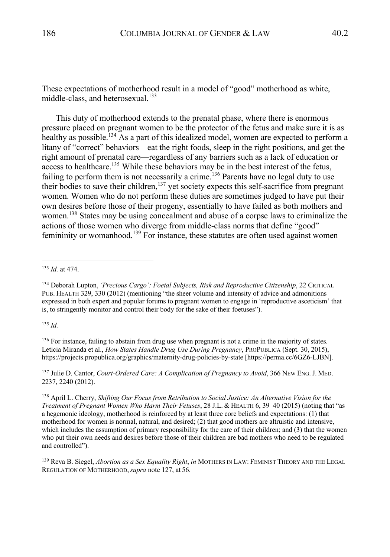These expectations of motherhood result in a model of "good" motherhood as white, middle-class, and heterosexual.<sup>133</sup>

This duty of motherhood extends to the prenatal phase, where there is enormous pressure placed on pregnant women to be the protector of the fetus and make sure it is as healthy as possible.<sup>134</sup> As a part of this idealized model, women are expected to perform a litany of "correct" behaviors—eat the right foods, sleep in the right positions, and get the right amount of prenatal care—regardless of any barriers such as a lack of education or access to healthcare.<sup>135</sup> While these behaviors may be in the best interest of the fetus, failing to perform them is not necessarily a crime.<sup>136</sup> Parents have no legal duty to use their bodies to save their children,<sup>137</sup> yet society expects this self-sacrifice from pregnant women. Women who do not perform these duties are sometimes judged to have put their own desires before those of their progeny, essentially to have failed as both mothers and women.<sup>138</sup> States may be using concealment and abuse of a corpse laws to criminalize the actions of those women who diverge from middle-class norms that define "good" femininity or womanhood.<sup>139</sup> For instance, these statutes are often used against women

<sup>135</sup> *Id.*

<sup>137</sup> Julie D. Cantor, *Court-Ordered Care: A Complication of Pregnancy to Avoid*, 366 NEW ENG.J. MED. 2237, 2240 (2012).

<sup>133</sup> *Id.* at 474.

<sup>134</sup> Deborah Lupton, *'Precious Cargo': Foetal Subjects, Risk and Reproductive Citizenship*, 22 CRITICAL PUB. HEALTH 329, 330 (2012) (mentioning "the sheer volume and intensity of advice and admonitions expressed in both expert and popular forums to pregnant women to engage in 'reproductive asceticism' that is, to stringently monitor and control their body for the sake of their foetuses").

<sup>&</sup>lt;sup>136</sup> For instance, failing to abstain from drug use when pregnant is not a crime in the majority of states. Leticia Miranda et al., *How States Handle Drug Use During Pregnancy*, PROPUBLICA (Sept. 30, 2015), https://projects.propublica.org/graphics/maternity-drug-policies-by-state [https://perma.cc/6GZ6-LJBN].

<sup>138</sup> April L. Cherry, *Shifting Our Focus from Retribution to Social Justice: An Alternative Vision for the Treatment of Pregnant Women Who Harm Their Fetuses*, 28 J.L. & HEALTH 6, 39–40 (2015) (noting that "as a hegemonic ideology, motherhood is reinforced by at least three core beliefs and expectations: (1) that motherhood for women is normal, natural, and desired; (2) that good mothers are altruistic and intensive, which includes the assumption of primary responsibility for the care of their children; and (3) that the women who put their own needs and desires before those of their children are bad mothers who need to be regulated and controlled").

<sup>139</sup> Reva B. Siegel, *Abortion as a Sex Equality Right*, *in* MOTHERS IN LAW: FEMINIST THEORY AND THE LEGAL REGULATION OF MOTHERHOOD,*supra* note 127, at 56.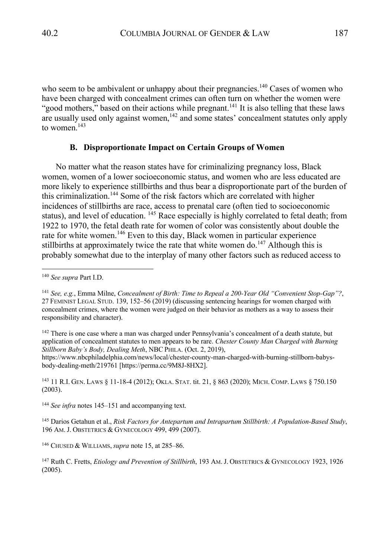who seem to be ambivalent or unhappy about their pregnancies.<sup>140</sup> Cases of women who have been charged with concealment crimes can often turn on whether the women were "good mothers," based on their actions while pregnant.<sup>141</sup> It is also telling that these laws are usually used only against women,  $\frac{1}{42}$  and some states' concealment statutes only apply to women. $143$ 

# **B. Disproportionate Impact on Certain Groups of Women**

No matter what the reason states have for criminalizing pregnancy loss, Black women, women of a lower socioeconomic status, and women who are less educated are more likely to experience stillbirths and thus bear a disproportionate part of the burden of this criminalization. <sup>144</sup> Some of the risk factors which are correlated with higher incidences of stillbirths are race, access to prenatal care (often tied to socioeconomic status), and level of education. <sup>145</sup> Race especially is highly correlated to fetal death; from 1922 to 1970, the fetal death rate for women of color was consistently about double the rate for white women.<sup>146</sup> Even to this day, Black women in particular experience still births at approximately twice the rate that white women do.<sup>147</sup> Although this is probably somewhat due to the interplay of many other factors such as reduced access to

<sup>142</sup> There is one case where a man was charged under Pennsylvania's concealment of a death statute, but application of concealment statutes to men appears to be rare. *Chester County Man Charged with Burning Stillborn Baby's Body, Dealing Meth*, NBC PHILA. (Oct. 2, 2019),

https://www.nbcphiladelphia.com/news/local/chester-county-man-charged-with-burning-stillborn-babysbody-dealing-meth/219761 [https://perma.cc/9M8J-8HX2].

<sup>143</sup> 11 R.I. GEN. LAWS § 11-18-4 (2012); OKLA. STAT. tit. 21, § 863 (2020); MICH. COMP. LAWS § 750.150 (2003).

<sup>144</sup> *See infra* notes 145–151 and accompanying text.

<sup>145</sup> Darios Getahun et al., *Risk Factors for Antepartum and Intrapartum Stillbirth: A Population-Based Study*, 196 AM.J. OBSTETRICS & GYNECOLOGY 499, 499 (2007).

<sup>146</sup> CHUSED & WILLIAMS,*supra* note 15, at 285–86.

<sup>140</sup> *See supra* Part I.D.

<sup>141</sup> *See, e.g.*, Emma Milne, *Concealment of Birth: Time to Repeal a 200-Year Old "Convenient Stop-Gap"?*, 27 FEMINIST LEGAL STUD. 139, 152–56 (2019) (discussing sentencing hearings for women charged with concealment crimes, where the women were judged on their behavior as mothers as a way to assess their responsibility and character).

<sup>147</sup> Ruth C. Fretts, *Etiology and Prevention of Stillbirth*, 193 AM.J. OBSTETRICS & GYNECOLOGY 1923, 1926 (2005).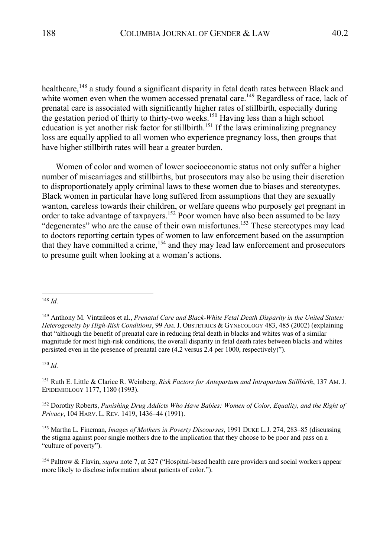healthcare, <sup>148</sup> a study found a significant disparity in fetal death rates between Black and white women even when the women accessed prenatal care.<sup>149</sup> Regardless of race, lack of prenatal care is associated with significantly higher rates of stillbirth, especially during the gestation period of thirty to thirty-two weeks.<sup>150</sup> Having less than a high school education is yet another risk factor for stillbirth.<sup>151</sup> If the laws criminalizing pregnancy

loss are equally applied to all women who experience pregnancy loss, then groups that have higher stillbirth rates will bear a greater burden.

Women of color and women of lower socioeconomic status not only suffer a higher number of miscarriages and stillbirths, but prosecutors may also be using their discretion to disproportionately apply criminal laws to these women due to biases and stereotypes. Black women in particular have long suffered from assumptions that they are sexually wanton, careless towards their children, or welfare queens who purposely get pregnant in order to take advantage of taxpayers.152 Poor women have also been assumed to be lazy "degenerates" who are the cause of their own misfortunes.<sup>153</sup> These stereotypes may lead to doctors reporting certain types of women to law enforcement based on the assumption that they have committed a crime,  $154$  and they may lead law enforcement and prosecutors to presume guilt when looking at a woman's actions.

<sup>150</sup> *Id.*

<sup>151</sup> Ruth E. Little & Clarice R. Weinberg, *Risk Factors for Antepartum and Intrapartum Stillbirth*, 137 AM.J. EPIDEMIOLOGY 1177, 1180 (1993).

<sup>152</sup> Dorothy Roberts, *Punishing Drug Addicts Who Have Babies: Women of Color, Equality, and the Right of Privacy*, 104 HARV. L. REV. 1419, 1436–44 (1991).

<sup>153</sup> Martha L. Fineman, *Images of Mothers in Poverty Discourses*, 1991 DUKE L.J. 274, 283–85 (discussing the stigma against poor single mothers due to the implication that they choose to be poor and pass on a "culture of poverty").

<sup>154</sup> Paltrow & Flavin, *supra* note 7, at 327 ("Hospital-based health care providers and social workers appear more likely to disclose information about patients of color.").

<sup>148</sup> *Id.*

<sup>149</sup> Anthony M. Vintzileos et al., *Prenatal Care and Black-White Fetal Death Disparity in the United States: Heterogeneity by High-Risk Conditions*, 99 AM.J. OBSTETRICS & GYNECOLOGY 483, 485 (2002) (explaining that "although the benefit of prenatal care in reducing fetal death in blacks and whites was of a similar magnitude for most high-risk conditions, the overall disparity in fetal death rates between blacks and whites persisted even in the presence of prenatal care (4.2 versus 2.4 per 1000, respectively)").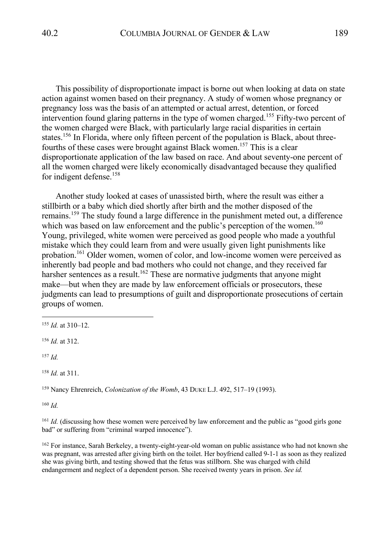This possibility of disproportionate impact is borne out when looking at data on state action against women based on their pregnancy. A study of women whose pregnancy or pregnancy loss was the basis of an attempted or actual arrest, detention, or forced intervention found glaring patterns in the type of women charged.<sup>155</sup> Fifty-two percent of the women charged were Black, with particularly large racial disparities in certain states.<sup>156</sup> In Florida, where only fifteen percent of the population is Black, about threefourths of these cases were brought against Black women.<sup>157</sup> This is a clear disproportionate application of the law based on race. And about seventy-one percent of all the women charged were likely economically disadvantaged because they qualified for indigent defense.<sup>158</sup>

Another study looked at cases of unassisted birth, where the result was either a stillbirth or a baby which died shortly after birth and the mother disposed of the remains.<sup>159</sup> The study found a large difference in the punishment meted out, a difference which was based on law enforcement and the public's perception of the women.<sup>160</sup> Young, privileged, white women were perceived as good people who made a youthful mistake which they could learn from and were usually given light punishments like probation.<sup>161</sup> Older women, women of color, and low-income women were perceived as inherently bad people and bad mothers who could not change, and they received far harsher sentences as a result.<sup>162</sup> These are normative judgments that anyone might make—but when they are made by law enforcement officials or prosecutors, these judgments can lead to presumptions of guilt and disproportionate prosecutions of certain groups of women.

<sup>157</sup> *Id.*

<sup>158</sup> *Id.* at 311.

<sup>159</sup> Nancy Ehrenreich, *Colonization of the Womb*, 43 DUKE L.J. 492, 517–19 (1993).

<sup>160</sup> *Id.*

<sup>161</sup> *Id.* (discussing how these women were perceived by law enforcement and the public as "good girls gone bad" or suffering from "criminal warped innocence").

<sup>162</sup> For instance, Sarah Berkeley, a twenty-eight-year-old woman on public assistance who had not known she was pregnant, was arrested after giving birth on the toilet. Her boyfriend called 9-1-1 as soon as they realized she was giving birth, and testing showed that the fetus was stillborn. She was charged with child endangerment and neglect of a dependent person. She received twenty years in prison. *See id.*

<sup>155</sup> *Id.* at 310–12.

<sup>156</sup> *Id.* at 312.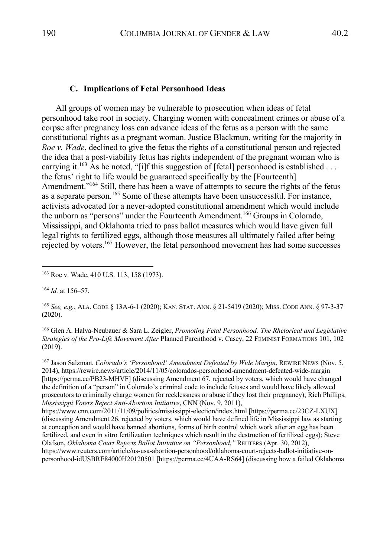#### **C. Implications of Fetal Personhood Ideas**

All groups of women may be vulnerable to prosecution when ideas of fetal personhood take root in society. Charging women with concealment crimes or abuse of a corpse after pregnancy loss can advance ideas of the fetus as a person with the same constitutional rights as a pregnant woman. Justice Blackmun, writing for the majority in *Roe v. Wade*, declined to give the fetus the rights of a constitutional person and rejected the idea that a post-viability fetus has rights independent of the pregnant woman who is carrying it.<sup>163</sup> As he noted, "[i]f this suggestion of [fetal] personhood is established ... the fetus' right to life would be guaranteed specifically by the [Fourteenth] Amendment."<sup>164</sup> Still, there has been a wave of attempts to secure the rights of the fetus as a separate person.<sup>165</sup> Some of these attempts have been unsuccessful. For instance, activists advocated for a never-adopted constitutional amendment which would include the unborn as "persons" under the Fourteenth Amendment.<sup>166</sup> Groups in Colorado, Mississippi, and Oklahoma tried to pass ballot measures which would have given full legal rights to fertilized eggs, although those measures all ultimately failed after being rejected by voters.<sup>167</sup> However, the fetal personhood movement has had some successes

<sup>166</sup> Glen A. Halva-Neubauer & Sara L. Zeigler, *Promoting Fetal Personhood: The Rhetorical and Legislative Strategies of the Pro-Life Movement After* Planned Parenthood v. Casey, 22 FEMINIST FORMATIONS 101, 102 (2019).

167 Jason Salzman, *Colorado's 'Personhood' Amendment Defeated by Wide Margin*, REWIRE NEWS (Nov. 5, 2014), https://rewire.news/article/2014/11/05/colorados-personhood-amendment-defeated-wide-margin [https://perma.cc/PB23-MHVF] (discussing Amendment 67, rejected by voters, which would have changed the definition of a "person" in Colorado's criminal code to include fetuses and would have likely allowed prosecutors to criminally charge women for recklessness or abuse if they lost their pregnancy); Rich Phillips, *Mississippi Voters Reject Anti-Abortion Initiative*, CNN (Nov. 9, 2011),

https://www.cnn.com/2011/11/09/politics/mississippi-election/index.html [https://perma.cc/23CZ-LXUX] (discussing Amendment 26, rejected by voters, which would have defined life in Mississippi law as starting at conception and would have banned abortions, forms of birth control which work after an egg has been fertilized, and even in vitro fertilization techniques which result in the destruction of fertilized eggs); Steve Olafson, *Oklahoma Court Rejects Ballot Initiative on "Personhood*,*"* REUTERS (Apr. 30, 2012), https://www.reuters.com/article/us-usa-abortion-personhood/oklahoma-court-rejects-ballot-initiative-onpersonhood-idUSBRE84000H20120501 [https://perma.cc/4UAA-RS64] (discussing how a failed Oklahoma

<sup>163</sup> Roe v. Wade, 410 U.S. 113, 158 (1973).

<sup>164</sup> *Id.* at 156–57.

<sup>165</sup> *See, e.g.*, ALA. CODE § 13A-6-1 (2020); KAN. STAT. ANN. § 21-5419 (2020); MISS. CODE ANN. § 97-3-37 (2020).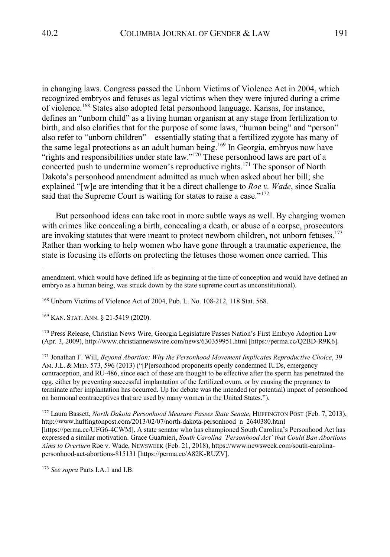in changing laws. Congress passed the Unborn Victims of Violence Act in 2004, which recognized embryos and fetuses as legal victims when they were injured during a crime of violence.<sup>168</sup> States also adopted fetal personhood language. Kansas, for instance, defines an "unborn child" as a living human organism at any stage from fertilization to birth, and also clarifies that for the purpose of some laws, "human being" and "person" also refer to "unborn children"—essentially stating that a fertilized zygote has many of the same legal protections as an adult human being.<sup>169</sup> In Georgia, embryos now have "rights and responsibilities under state law."170 These personhood laws are part of a concerted push to undermine women's reproductive rights.<sup>171</sup> The sponsor of North Dakota's personhood amendment admitted as much when asked about her bill; she explained "[w]e are intending that it be a direct challenge to *Roe v. Wade*, since Scalia said that the Supreme Court is waiting for states to raise a case."<sup>172</sup>

But personhood ideas can take root in more subtle ways as well. By charging women with crimes like concealing a birth, concealing a death, or abuse of a corpse, prosecutors are invoking statutes that were meant to protect newborn children, not unborn fetuses.<sup>173</sup> Rather than working to help women who have gone through a traumatic experience, the state is focusing its efforts on protecting the fetuses those women once carried. This

<sup>169</sup> KAN. STAT. ANN. § 21-5419 (2020).

<sup>170</sup> Press Release, Christian News Wire, Georgia Legislature Passes Nation's First Embryo Adoption Law (Apr. 3, 2009), http://www.christiannewswire.com/news/630359951.html [https://perma.cc/Q2BD-R9K6].

<sup>171</sup> Jonathan F. Will, *Beyond Abortion: Why the Personhood Movement Implicates Reproductive Choice*, 39 AM.J.L. & MED. 573, 596 (2013) ("[P]ersonhood proponents openly condemned IUDs, emergency contraception, and RU-486, since each of these are thought to be effective after the sperm has penetrated the egg, either by preventing successful implantation of the fertilized ovum, or by causing the pregnancy to terminate after implantation has occurred. Up for debate was the intended (or potential) impact of personhood on hormonal contraceptives that are used by many women in the United States.").

<sup>172</sup> Laura Bassett, *North Dakota Personhood Measure Passes State Senate*, HUFFINGTON POST (Feb. 7, 2013), http://www.huffingtonpost.com/2013/02/07/north-dakota-personhood\_n\_2640380.html [https://perma.cc/UFG6-4CWM]. A state senator who has championed South Carolina's Personhood Act has expressed a similar motivation. Grace Guarnieri, *South Carolina 'Personhood Act' that Could Ban Abortions Aims to Overturn* Roe v. Wade, NEWSWEEK (Feb. 21, 2018), https://www.newsweek.com/south-carolinapersonhood-act-abortions-815131 [https://perma.cc/A82K-RUZV].

<sup>173</sup> *See supra* Parts I.A.1 and I.B.

amendment, which would have defined life as beginning at the time of conception and would have defined an embryo as a human being, was struck down by the state supreme court as unconstitutional).

<sup>168</sup> Unborn Victims of Violence Act of 2004, Pub. L. No. 108-212, 118 Stat. 568.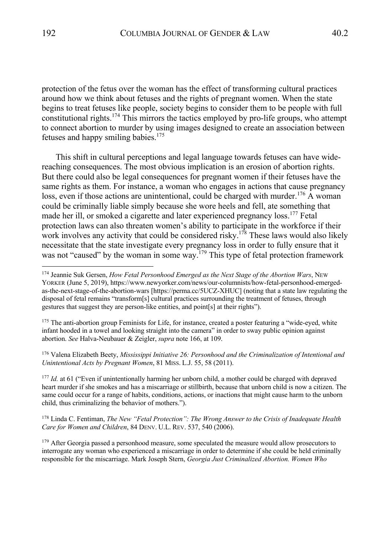protection of the fetus over the woman has the effect of transforming cultural practices around how we think about fetuses and the rights of pregnant women. When the state begins to treat fetuses like people, society begins to consider them to be people with full constitutional rights.<sup>174</sup> This mirrors the tactics employed by pro-life groups, who attempt to connect abortion to murder by using images designed to create an association between fetuses and happy smiling babies. 175

This shift in cultural perceptions and legal language towards fetuses can have widereaching consequences. The most obvious implication is an erosion of abortion rights. But there could also be legal consequences for pregnant women if their fetuses have the same rights as them. For instance, a woman who engages in actions that cause pregnancy loss, even if those actions are unintentional, could be charged with murder.<sup>176</sup> A woman could be criminally liable simply because she wore heels and fell, ate something that made her ill, or smoked a cigarette and later experienced pregnancy loss.<sup>177</sup> Fetal protection laws can also threaten women's ability to participate in the workforce if their work involves any activity that could be considered risky.<sup>178</sup> These laws would also likely necessitate that the state investigate every pregnancy loss in order to fully ensure that it was not "caused" by the woman in some way.<sup>179</sup> This type of fetal protection framework

<sup>175</sup> The anti-abortion group Feminists for Life, for instance, created a poster featuring a "wide-eyed, white infant hooded in a towel and looking straight into the camera" in order to sway public opinion against abortion. *See* Halva-Neubauer & Zeigler, *supra* note 166, at 109.

<sup>176</sup> Valena Elizabeth Beety, *Mississippi Initiative 26: Personhood and the Criminalization of Intentional and Unintentional Acts by Pregnant Women*, 81 MISS. L.J. 55, 58 (2011).

<sup>177</sup> *Id.* at 61 ("Even if unintentionally harming her unborn child, a mother could be charged with depraved heart murder if she smokes and has a miscarriage or stillbirth, because that unborn child is now a citizen. The same could occur for a range of habits, conditions, actions, or inactions that might cause harm to the unborn child, thus criminalizing the behavior of mothers.").

<sup>178</sup> Linda C. Fentiman, *The New "Fetal Protection": The Wrong Answer to the Crisis of Inadequate Health Care for Women and Children*, 84 DENV. U.L. REV. 537, 540 (2006).

<sup>179</sup> After Georgia passed a personhood measure, some speculated the measure would allow prosecutors to interrogate any woman who experienced a miscarriage in order to determine if she could be held criminally responsible for the miscarriage. Mark Joseph Stern, *Georgia Just Criminalized Abortion. Women Who* 

<sup>&</sup>lt;sup>174</sup> Jeannie Suk Gersen, *How Fetal Personhood Emerged as the Next Stage of the Abortion Wars*, NEW YORKER (June 5, 2019), https://www.newyorker.com/news/our-columnists/how-fetal-personhood-emergedas-the-next-stage-of-the-abortion-wars [https://perma.cc/5UCZ-XHUC] (noting that a state law regulating the disposal of fetal remains "transform[s] cultural practices surrounding the treatment of fetuses, through gestures that suggest they are person-like entities, and point[s] at their rights").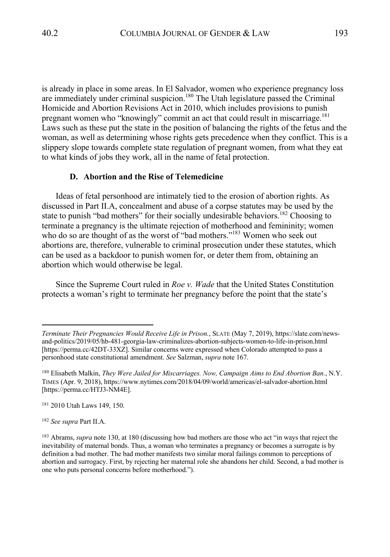is already in place in some areas. In El Salvador, women who experience pregnancy loss are immediately under criminal suspicion.<sup>180</sup> The Utah legislature passed the Criminal Homicide and Abortion Revisions Act in 2010, which includes provisions to punish pregnant women who "knowingly" commit an act that could result in miscarriage.<sup>181</sup> Laws such as these put the state in the position of balancing the rights of the fetus and the woman, as well as determining whose rights gets precedence when they conflict. This is a slippery slope towards complete state regulation of pregnant women, from what they eat to what kinds of jobs they work, all in the name of fetal protection.

#### **D. Abortion and the Rise of Telemedicine**

Ideas of fetal personhood are intimately tied to the erosion of abortion rights. As discussed in Part II.A, concealment and abuse of a corpse statutes may be used by the state to punish "bad mothers" for their socially undesirable behaviors.<sup>182</sup> Choosing to terminate a pregnancy is the ultimate rejection of motherhood and femininity; women who do so are thought of as the worst of "bad mothers."<sup>183</sup> Women who seek out abortions are, therefore, vulnerable to criminal prosecution under these statutes, which can be used as a backdoor to punish women for, or deter them from, obtaining an abortion which would otherwise be legal.

Since the Supreme Court ruled in *Roe v. Wade* that the United States Constitution protects a woman's right to terminate her pregnancy before the point that the state's

<sup>182</sup> *See supra* Part II.A.

*Terminate Their Pregnancies Would Receive Life in Prison.*, SLATE (May 7, 2019), https://slate.com/newsand-politics/2019/05/hb-481-georgia-law-criminalizes-abortion-subjects-women-to-life-in-prison.html [https://perma.cc/42DT-33XZ]. Similar concerns were expressed when Colorado attempted to pass a personhood state constitutional amendment. *See* Salzman, *supra* note 167.

<sup>180</sup> Elisabeth Malkin, *They Were Jailed for Miscarriages. Now, Campaign Aims to End Abortion Ban.*, N.Y. TIMES (Apr. 9, 2018), https://www.nytimes.com/2018/04/09/world/americas/el-salvador-abortion.html [https://perma.cc/HTJ3-NM4E].

<sup>181</sup> 2010 Utah Laws 149, 150.

<sup>183</sup> Abrams, *supra* note 130, at 180 (discussing how bad mothers are those who act "in ways that reject the inevitability of maternal bonds. Thus, a woman who terminates a pregnancy or becomes a surrogate is by definition a bad mother. The bad mother manifests two similar moral failings common to perceptions of abortion and surrogacy. First, by rejecting her maternal role she abandons her child. Second, a bad mother is one who puts personal concerns before motherhood.").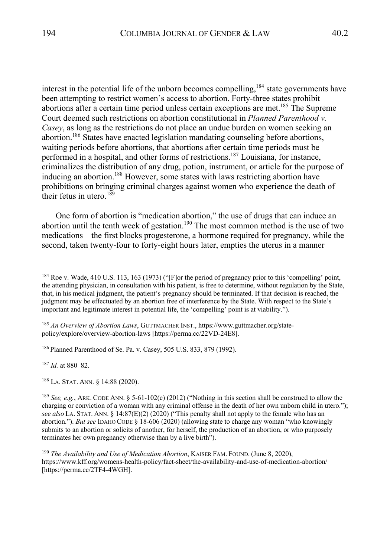interest in the potential life of the unborn becomes compelling,  $184$  state governments have been attempting to restrict women's access to abortion. Forty-three states prohibit abortions after a certain time period unless certain exceptions are met.<sup>185</sup> The Supreme Court deemed such restrictions on abortion constitutional in *Planned Parenthood v. Casey*, as long as the restrictions do not place an undue burden on women seeking an abortion.186 States have enacted legislation mandating counseling before abortions, waiting periods before abortions, that abortions after certain time periods must be performed in a hospital, and other forms of restrictions.187 Louisiana, for instance, criminalizes the distribution of any drug, potion, instrument, or article for the purpose of inducing an abortion.<sup>188</sup> However, some states with laws restricting abortion have prohibitions on bringing criminal charges against women who experience the death of their fetus in utero.<sup>189</sup>

One form of abortion is "medication abortion," the use of drugs that can induce an abortion until the tenth week of gestation.<sup>190</sup> The most common method is the use of two medications—the first blocks progesterone, a hormone required for pregnancy, while the second, taken twenty-four to forty-eight hours later, empties the uterus in a manner

<sup>186</sup> Planned Parenthood of Se. Pa. v. Casey, 505 U.S. 833, 879 (1992).

<sup>187</sup> *Id.* at 880–82.

<sup>188</sup> LA. STAT. ANN. § 14:88 (2020).

<sup>184</sup> Roe v. Wade, 410 U.S. 113, 163 (1973) ("[F]or the period of pregnancy prior to this 'compelling' point, the attending physician, in consultation with his patient, is free to determine, without regulation by the State, that, in his medical judgment, the patient's pregnancy should be terminated. If that decision is reached, the judgment may be effectuated by an abortion free of interference by the State. With respect to the State's important and legitimate interest in potential life, the 'compelling' point is at viability.").

<sup>185</sup> *An Overview of Abortion Laws*, GUTTMACHER INST., https://www.guttmacher.org/statepolicy/explore/overview-abortion-laws [https://perma.cc/22VD-24E8].

<sup>189</sup> *See, e.g.*, ARK. CODE ANN. § 5-61-102(c) (2012) ("Nothing in this section shall be construed to allow the charging or conviction of a woman with any criminal offense in the death of her own unborn child in utero."); *see also* LA. STAT. ANN. § 14:87(E)(2) (2020) ("This penalty shall not apply to the female who has an abortion."). *But see* IDAHO CODE § 18-606 (2020) (allowing state to charge any woman "who knowingly submits to an abortion or solicits of another, for herself, the production of an abortion, or who purposely terminates her own pregnancy otherwise than by a live birth").

<sup>190</sup> *The Availability and Use of Medication Abortion*, KAISER FAM. FOUND. (June 8, 2020), https://www.kff.org/womens-health-policy/fact-sheet/the-availability-and-use-of-medication-abortion/ [https://perma.cc/2TF4-4WGH].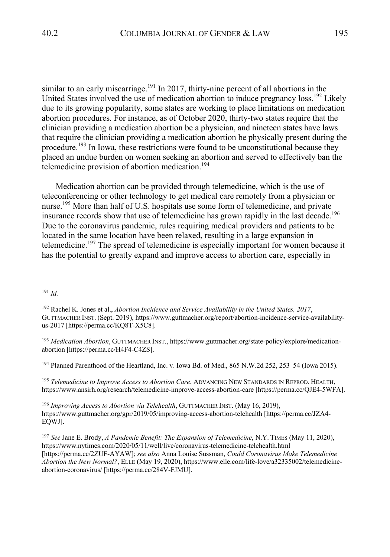similar to an early miscarriage.<sup>191</sup> In 2017, thirty-nine percent of all abortions in the United States involved the use of medication abortion to induce pregnancy loss.<sup>192</sup> Likely due to its growing popularity, some states are working to place limitations on medication abortion procedures. For instance, as of October 2020, thirty-two states require that the clinician providing a medication abortion be a physician, and nineteen states have laws that require the clinician providing a medication abortion be physically present during the procedure.<sup>193</sup> In Iowa, these restrictions were found to be unconstitutional because they placed an undue burden on women seeking an abortion and served to effectively ban the telemedicine provision of abortion medication.<sup>194</sup>

Medication abortion can be provided through telemedicine, which is the use of teleconferencing or other technology to get medical care remotely from a physician or nurse.<sup>195</sup> More than half of U.S. hospitals use some form of telemedicine, and private insurance records show that use of telemedicine has grown rapidly in the last decade.<sup>196</sup> Due to the coronavirus pandemic, rules requiring medical providers and patients to be located in the same location have been relaxed, resulting in a large expansion in telemedicine.<sup>197</sup> The spread of telemedicine is especially important for women because it has the potential to greatly expand and improve access to abortion care, especially in

<sup>194</sup> Planned Parenthood of the Heartland, Inc. v. Iowa Bd. of Med., 865 N.W.2d 252, 253–54 (Iowa 2015).

<sup>195</sup> *Telemedicine to Improve Access to Abortion Care*, ADVANCING NEW STANDARDS IN REPROD. HEALTH, https://www.ansirh.org/research/telemedicine-improve-access-abortion-care [https://perma.cc/QJE4-5WFA].

<sup>196</sup> *Improving Access to Abortion via Telehealth*, GUTTMACHER INST. (May 16, 2019), https://www.guttmacher.org/gpr/2019/05/improving-access-abortion-telehealth [https://perma.cc/JZA4- EQWJ].

<sup>191</sup> *Id.*

<sup>192</sup> Rachel K. Jones et al., *Abortion Incidence and Service Availability in the United States, 2017*, GUTTMACHER INST. (Sept. 2019), https://www.guttmacher.org/report/abortion-incidence-service-availabilityus-2017 [https://perma.cc/KQ8T-X5C8].

<sup>193</sup> *Medication Abortion*, GUTTMACHER INST., https://www.guttmacher.org/state-policy/explore/medicationabortion [https://perma.cc/H4F4-C4ZS].

<sup>197</sup> *See* Jane E. Brody, *A Pandemic Benefit: The Expansion of Telemedicine*, N.Y. TIMES (May 11, 2020), https://www.nytimes.com/2020/05/11/well/live/coronavirus-telemedicine-telehealth.html [https://perma.cc/2ZUF-AYAW]; *see also* Anna Louise Sussman, *Could Coronavirus Make Telemedicine Abortion the New Normal?*, ELLE (May 19, 2020), https://www.elle.com/life-love/a32335002/telemedicineabortion-coronavirus/ [https://perma.cc/284V-FJMU].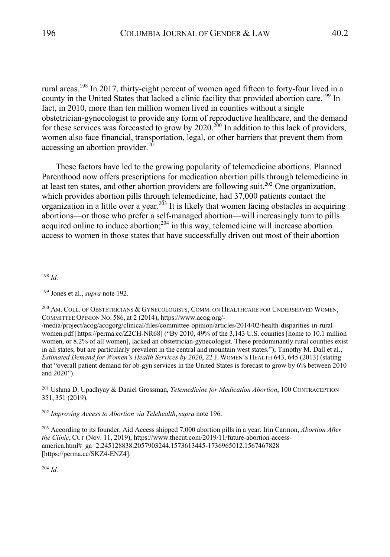rural areas.<sup>198</sup> In 2017, thirty-eight percent of women aged fifteen to forty-four lived in a county in the United States that lacked a clinic facility that provided abortion care.<sup>199</sup> In fact, in 2010, more than ten million women lived in counties without a single obstetrician-gynecologist to provide any form of reproductive healthcare, and the demand for these services was forecasted to grow by  $2020$ .<sup>200</sup> In addition to this lack of providers, women also face financial, transportation, legal, or other barriers that prevent them from accessing an abortion provider. $^{201}$ 

These factors have led to the growing popularity of telemedicine abortions. Planned Parenthood now offers prescriptions for medication abortion pills through telemedicine in at least ten states, and other abortion providers are following suit.<sup>202</sup> One organization, which provides abortion pills through telemedicine, had 37,000 patients contact the organization in a little over a year.<sup>203</sup> It is likely that women facing obstacles in acquiring abortions—or those who prefer a self-managed abortion—will increasingly turn to pills acquired online to induce abortion; $^{204}$  in this way, telemedicine will increase abortion access to women in those states that have successfully driven out most of their abortion

<sup>198</sup> *Id.*

 $^{200}$  Am. Coll. of Obstetricians & Gynecologists, Comm. on Healthcare for Underserved Women, COMMITTEE OPINION NO. 586, at 2 (2014), https://www.acog.org/-

/media/project/acog/acogorg/clinical/files/committee-opinion/articles/2014/02/health-disparities-in-ruralwomen.pdf [https://perma.cc/Z2CH-NR68] ("By 2010, 49% of the 3,143 U.S. counties [home to 10.1 million women, or 8.2% of all women], lacked an obstetrician-gynecologist. These predominantly rural counties exist in all states, but are particularly prevalent in the central and mountain west states."); Timothy M. Dall et al., *Estimated Demand for Women's Health Services by 2020*, 22 J. WOMEN'S HEALTH 643, 645 (2013) (stating that "overall patient demand for ob-gyn services in the United States is forecast to grow by 6% between 2010 and 2020").

<sup>201</sup> Ushma D. Upadhyay & Daniel Grossman, *Telemedicine for Medication Abortion*, 100 CONTRACEPTION 351, 351 (2019).

<sup>202</sup> *Improving Access to Abortion via Telehealth*,*supra* note 196.

<sup>203</sup> According to its founder, Aid Access shipped 7,000 abortion pills in a year. Irin Carmon, *Abortion After the Clinic*, CUT (Nov. 11, 2019), https://www.thecut.com/2019/11/future-abortion-accessamerica.html#\_ga=2.245128838.2057903244.1573613445-1736965012.1567467828 [https://perma.cc/SKZ4-ENZ4].

<sup>199</sup> Jones et al., *supra* note 192.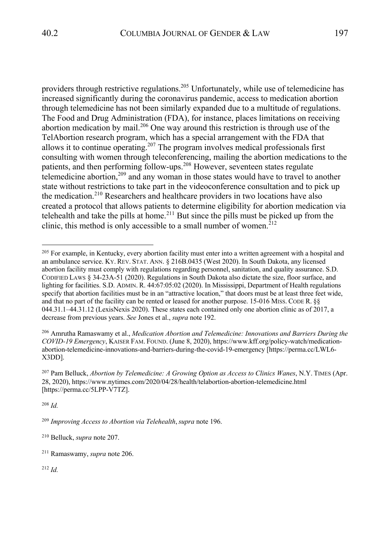providers through restrictive regulations.<sup>205</sup> Unfortunately, while use of telemedicine has increased significantly during the coronavirus pandemic, access to medication abortion through telemedicine has not been similarly expanded due to a multitude of regulations. The Food and Drug Administration (FDA), for instance, places limitations on receiving abortion medication by mail.<sup>206</sup> One way around this restriction is through use of the TelAbortion research program, which has a special arrangement with the FDA that allows it to continue operating.207 The program involves medical professionals first consulting with women through teleconferencing, mailing the abortion medications to the patients, and then performing follow-ups. <sup>208</sup> However, seventeen states regulate telemedicine abortion,<sup>209</sup> and any woman in those states would have to travel to another state without restrictions to take part in the videoconference consultation and to pick up the medication.<sup>210</sup> Researchers and healthcare providers in two locations have also created a protocol that allows patients to determine eligibility for abortion medication via telehealth and take the pills at home.<sup>211</sup> But since the pills must be picked up from the clinic, this method is only accessible to a small number of women.<sup>212</sup>

<sup>206</sup> Amrutha Ramaswamy et al., *Medication Abortion and Telemedicine: Innovations and Barriers During the COVID-19 Emergency*, KAISER FAM. FOUND. (June 8, 2020), https://www.kff.org/policy-watch/medicationabortion-telemedicine-innovations-and-barriers-during-the-covid-19-emergency [https://perma.cc/LWL6- X3DD].

<sup>207</sup> Pam Belluck, *Abortion by Telemedicine: A Growing Option as Access to Clinics Wanes*, N.Y. TIMES (Apr. 28, 2020), https://www.nytimes.com/2020/04/28/health/telabortion-abortion-telemedicine.html [https://perma.cc/5LPP-V7TZ].

<sup>208</sup> *Id.*

<sup>209</sup> *Improving Access to Abortion via Telehealth*,*supra* note 196.

<sup>&</sup>lt;sup>205</sup> For example, in Kentucky, every abortion facility must enter into a written agreement with a hospital and an ambulance service. KY. REV. STAT. ANN. § 216B.0435 (West 2020). In South Dakota, any licensed abortion facility must comply with regulations regarding personnel, sanitation, and quality assurance. S.D. CODIFIED LAWS § 34-23A-51 (2020). Regulations in South Dakota also dictate the size, floor surface, and lighting for facilities. S.D. ADMIN. R. 44:67:05:02 (2020). In Mississippi, Department of Health regulations specify that abortion facilities must be in an "attractive location," that doors must be at least three feet wide, and that no part of the facility can be rented or leased for another purpose. 15-016 MISS. CODE R. §§ 044.31.1–44.31.12 (LexisNexis 2020). These states each contained only one abortion clinic as of 2017, a decrease from previous years. *See* Jones et al., *supra* note 192.

<sup>210</sup> Belluck, *supra* note 207.

<sup>211</sup> Ramaswamy, *supra* note 206.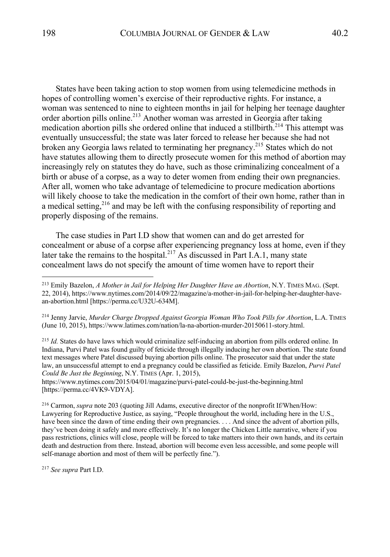States have been taking action to stop women from using telemedicine methods in hopes of controlling women's exercise of their reproductive rights. For instance, a woman was sentenced to nine to eighteen months in jail for helping her teenage daughter order abortion pills online.213 Another woman was arrested in Georgia after taking medication abortion pills she ordered online that induced a stillbirth.<sup>214</sup> This attempt was eventually unsuccessful; the state was later forced to release her because she had not broken any Georgia laws related to terminating her pregnancy.215 States which do not have statutes allowing them to directly prosecute women for this method of abortion may increasingly rely on statutes they do have, such as those criminalizing concealment of a birth or abuse of a corpse, as a way to deter women from ending their own pregnancies. After all, women who take advantage of telemedicine to procure medication abortions will likely choose to take the medication in the comfort of their own home, rather than in a medical setting,  $2^{16}$  and may be left with the confusing responsibility of reporting and properly disposing of the remains.

The case studies in Part I.D show that women can and do get arrested for concealment or abuse of a corpse after experiencing pregnancy loss at home, even if they later take the remains to the hospital.<sup>217</sup> As discussed in Part I.A.1, many state concealment laws do not specify the amount of time women have to report their

<sup>214</sup> Jenny Jarvie, *Murder Charge Dropped Against Georgia Woman Who Took Pills for Abortion*, L.A. TIMES (June 10, 2015), https://www.latimes.com/nation/la-na-abortion-murder-20150611-story.html.

<sup>215</sup> *Id.* States do have laws which would criminalize self-inducing an abortion from pills ordered online. In Indiana, Purvi Patel was found guilty of feticide through illegally inducing her own abortion. The state found text messages where Patel discussed buying abortion pills online. The prosecutor said that under the state law, an unsuccessful attempt to end a pregnancy could be classified as feticide. Emily Bazelon, *Purvi Patel Could Be Just the Beginning*, N.Y. TIMES (Apr. 1, 2015),

https://www.nytimes.com/2015/04/01/magazine/purvi-patel-could-be-just-the-beginning.html [https://perma.cc/4VK9-VDYA].

<sup>216</sup> Carmon, *supra* note 203 (quoting Jill Adams, executive director of the nonprofit If/When/How: Lawyering for Reproductive Justice, as saying, "People throughout the world, including here in the U.S., have been since the dawn of time ending their own pregnancies. . . . And since the advent of abortion pills, they've been doing it safely and more effectively. It's no longer the Chicken Little narrative, where if you pass restrictions, clinics will close, people will be forced to take matters into their own hands, and its certain death and destruction from there. Instead, abortion will become even less accessible, and some people will self-manage abortion and most of them will be perfectly fine.").

<sup>217</sup> *See supra* Part I.D.

<sup>213</sup> Emily Bazelon, *A Mother in Jail for Helping Her Daughter Have an Abortion*, N.Y. TIMES MAG. (Sept. 22, 2014), https://www.nytimes.com/2014/09/22/magazine/a-mother-in-jail-for-helping-her-daughter-havean-abortion.html [https://perma.cc/U32U-634M].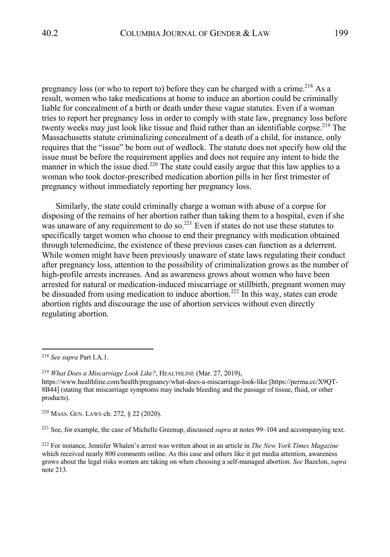pregnancy loss (or who to report to) before they can be charged with a crime.<sup>218</sup> As a result, women who take medications at home to induce an abortion could be criminally liable for concealment of a birth or death under these vague statutes. Even if a woman tries to report her pregnancy loss in order to comply with state law, pregnancy loss before twenty weeks may just look like tissue and fluid rather than an identifiable corpse.<sup>219</sup> The Massachusetts statute criminalizing concealment of a death of a child, for instance, only requires that the "issue" be born out of wedlock. The statute does not specify how old the issue must be before the requirement applies and does not require any intent to hide the manner in which the issue died.<sup>220</sup> The state could easily argue that this law applies to a woman who took doctor-prescribed medication abortion pills in her first trimester of pregnancy without immediately reporting her pregnancy loss.

Similarly, the state could criminally charge a woman with abuse of a corpse for disposing of the remains of her abortion rather than taking them to a hospital, even if she was unaware of any requirement to do so.<sup>221</sup> Even if states do not use these statutes to specifically target women who choose to end their pregnancy with medication obtained through telemedicine, the existence of these previous cases can function as a deterrent. While women might have been previously unaware of state laws regulating their conduct after pregnancy loss, attention to the possibility of criminalization grows as the number of high-profile arrests increases. And as awareness grows about women who have been arrested for natural or medication-induced miscarriage or stillbirth, pregnant women may be dissuaded from using medication to induce abortion.<sup>222</sup> In this way, states can erode abortion rights and discourage the use of abortion services without even directly regulating abortion.

<sup>220</sup> MASS. GEN. LAWS ch. 272, § 22 (2020).

<sup>221</sup> See, for example, the case of Michelle Greenup, discussed *supra* at notes 99–104 and accompanying text.

<sup>222</sup> For instance, Jennifer Whalen's arrest was written about in an article in *The New York Times Magazine* which received nearly 800 comments online. As this case and others like it get media attention, awareness grows about the legal risks women are taking on when choosing a self-managed abortion. *See* Bazelon, *supra* note 213.

<sup>218</sup> *See supra* Part I.A.1.

<sup>219</sup> *What Does a Miscarriage Look Like?*, HEALTHLINE (Mar. 27, 2019),

https://www.healthline.com/health/pregnancy/what-does-a-miscarriage-look-like [https://perma.cc/X9QT-8B44] (stating that miscarriage symptoms may include bleeding and the passage of tissue, fluid, or other products).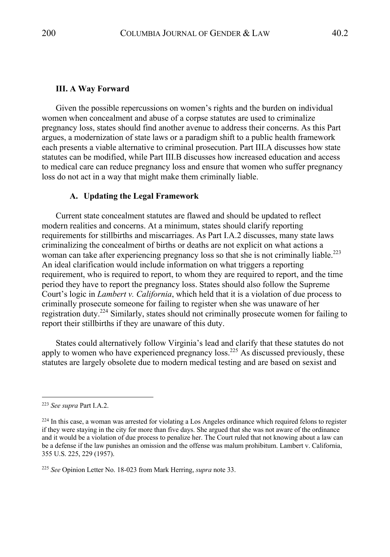#### **III. A Way Forward**

Given the possible repercussions on women's rights and the burden on individual women when concealment and abuse of a corpse statutes are used to criminalize pregnancy loss, states should find another avenue to address their concerns. As this Part argues, a modernization of state laws or a paradigm shift to a public health framework each presents a viable alternative to criminal prosecution. Part III.A discusses how state statutes can be modified, while Part III.B discusses how increased education and access to medical care can reduce pregnancy loss and ensure that women who suffer pregnancy loss do not act in a way that might make them criminally liable.

## **A. Updating the Legal Framework**

Current state concealment statutes are flawed and should be updated to reflect modern realities and concerns. At a minimum, states should clarify reporting requirements for stillbirths and miscarriages. As Part I.A.2 discusses, many state laws criminalizing the concealment of births or deaths are not explicit on what actions a woman can take after experiencing pregnancy loss so that she is not criminally liable.<sup>223</sup> An ideal clarification would include information on what triggers a reporting requirement, who is required to report, to whom they are required to report, and the time period they have to report the pregnancy loss. States should also follow the Supreme Court's logic in *Lambert v. California*, which held that it is a violation of due process to criminally prosecute someone for failing to register when she was unaware of her registration duty.224 Similarly, states should not criminally prosecute women for failing to report their stillbirths if they are unaware of this duty.

States could alternatively follow Virginia's lead and clarify that these statutes do not apply to women who have experienced pregnancy  $loss.<sup>225</sup>$  As discussed previously, these statutes are largely obsolete due to modern medical testing and are based on sexist and

<sup>223</sup> *See supra* Part I.A.2.

<sup>&</sup>lt;sup>224</sup> In this case, a woman was arrested for violating a Los Angeles ordinance which required felons to register if they were staying in the city for more than five days. She argued that she was not aware of the ordinance and it would be a violation of due process to penalize her. The Court ruled that not knowing about a law can be a defense if the law punishes an omission and the offense was malum prohibitum. Lambert v. California, 355 U.S. 225, 229 (1957).

<sup>225</sup> *See* Opinion Letter No. 18-023 from Mark Herring, *supra* note 33.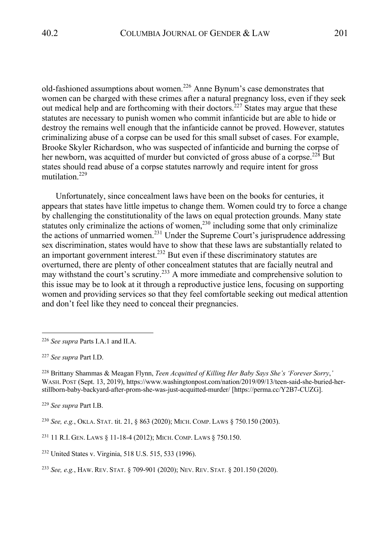old-fashioned assumptions about women.<sup>226</sup> Anne Bynum's case demonstrates that women can be charged with these crimes after a natural pregnancy loss, even if they seek out medical help and are forthcoming with their doctors.<sup> $227$ </sup> States may argue that these statutes are necessary to punish women who commit infanticide but are able to hide or destroy the remains well enough that the infanticide cannot be proved. However, statutes criminalizing abuse of a corpse can be used for this small subset of cases. For example, Brooke Skyler Richardson, who was suspected of infanticide and burning the corpse of her newborn, was acquitted of murder but convicted of gross abuse of a corpse.<sup>228</sup> But states should read abuse of a corpse statutes narrowly and require intent for gross mutilation. 229

Unfortunately, since concealment laws have been on the books for centuries, it appears that states have little impetus to change them. Women could try to force a change by challenging the constitutionality of the laws on equal protection grounds. Many state statutes only criminalize the actions of women, $^{230}$  including some that only criminalize the actions of unmarried women.<sup>231</sup> Under the Supreme Court's jurisprudence addressing sex discrimination, states would have to show that these laws are substantially related to an important government interest.<sup>232</sup> But even if these discriminatory statutes are overturned, there are plenty of other concealment statutes that are facially neutral and may withstand the court's scrutiny.233 A more immediate and comprehensive solution to this issue may be to look at it through a reproductive justice lens, focusing on supporting women and providing services so that they feel comfortable seeking out medical attention and don't feel like they need to conceal their pregnancies.

<sup>228</sup> Brittany Shammas & Meagan Flynn, *Teen Acquitted of Killing Her Baby Says She's 'Forever Sorry*,*'* WASH. POST (Sept. 13, 2019), https://www.washingtonpost.com/nation/2019/09/13/teen-said-she-buried-herstillborn-baby-backyard-after-prom-she-was-just-acquitted-murder/ [https://perma.cc/Y2B7-CUZG].

<sup>229</sup> *See supra* Part I.B.

<sup>230</sup> *See, e.g.*, OKLA. STAT. tit. 21, § 863 (2020); MICH. COMP. LAWS § 750.150 (2003).

<sup>231</sup> 11 R.I. GEN. LAWS § 11-18-4 (2012); MICH. COMP. LAWS § 750.150.

<sup>226</sup> *See supra* Parts I.A.1 and II.A.

<sup>227</sup> *See supra* Part I.D.

<sup>232</sup> United States v. Virginia, 518 U.S. 515, 533 (1996).

<sup>233</sup> *See, e.g.*, HAW. REV. STAT. § 709-901 (2020); NEV. REV. STAT. § 201.150 (2020).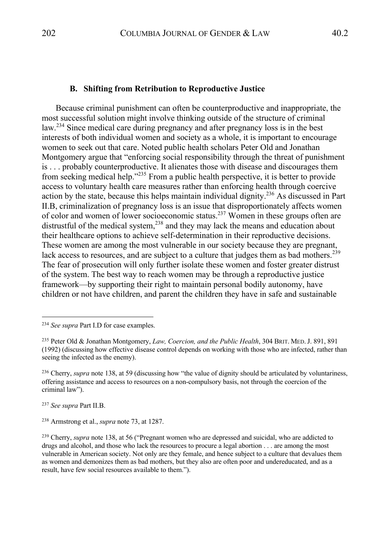#### **B. Shifting from Retribution to Reproductive Justice**

Because criminal punishment can often be counterproductive and inappropriate, the most successful solution might involve thinking outside of the structure of criminal law.<sup>234</sup> Since medical care during pregnancy and after pregnancy loss is in the best interests of both individual women and society as a whole, it is important to encourage women to seek out that care. Noted public health scholars Peter Old and Jonathan Montgomery argue that "enforcing social responsibility through the threat of punishment is . . . probably counterproductive. It alienates those with disease and discourages them from seeking medical help."235 From a public health perspective, it is better to provide access to voluntary health care measures rather than enforcing health through coercive action by the state, because this helps maintain individual dignity.<sup>236</sup> As discussed in Part II.B, criminalization of pregnancy loss is an issue that disproportionately affects women of color and women of lower socioeconomic status.<sup>237</sup> Women in these groups often are distrustful of the medical system,<sup>238</sup> and they may lack the means and education about their healthcare options to achieve self-determination in their reproductive decisions. These women are among the most vulnerable in our society because they are pregnant, lack access to resources, and are subject to a culture that judges them as bad mothers.<sup>239</sup> The fear of prosecution will only further isolate these women and foster greater distrust of the system. The best way to reach women may be through a reproductive justice framework—by supporting their right to maintain personal bodily autonomy, have children or not have children, and parent the children they have in safe and sustainable

<sup>237</sup> *See supra* Part II.B.

<sup>238</sup> Armstrong et al., *supra* note 73, at 1287.

<sup>234</sup> *See supra* Part I.D for case examples.

<sup>235</sup> Peter Old & Jonathan Montgomery, *Law, Coercion, and the Public Health*, 304 BRIT. MED.J. 891, 891 (1992) (discussing how effective disease control depends on working with those who are infected, rather than seeing the infected as the enemy).

<sup>&</sup>lt;sup>236</sup> Cherry, *supra* note 138, at 59 (discussing how "the value of dignity should be articulated by voluntariness, offering assistance and access to resources on a non-compulsory basis, not through the coercion of the criminal law").

<sup>239</sup> Cherry, *supra* note 138, at 56 ("Pregnant women who are depressed and suicidal, who are addicted to drugs and alcohol, and those who lack the resources to procure a legal abortion . . . are among the most vulnerable in American society. Not only are they female, and hence subject to a culture that devalues them as women and demonizes them as bad mothers, but they also are often poor and undereducated, and as a result, have few social resources available to them.").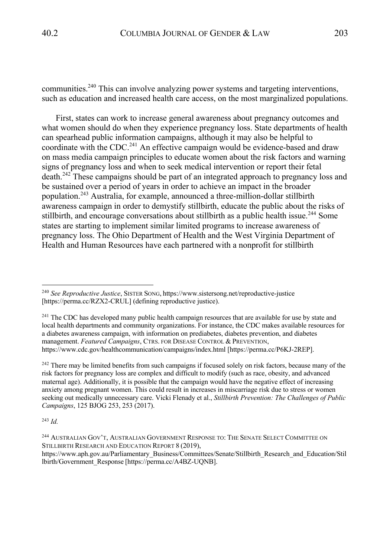communities.240 This can involve analyzing power systems and targeting interventions, such as education and increased health care access, on the most marginalized populations.

First, states can work to increase general awareness about pregnancy outcomes and what women should do when they experience pregnancy loss. State departments of health can spearhead public information campaigns, although it may also be helpful to coordinate with the CDC.<sup>241</sup> An effective campaign would be evidence-based and draw on mass media campaign principles to educate women about the risk factors and warning signs of pregnancy loss and when to seek medical intervention or report their fetal death.<sup>242</sup> These campaigns should be part of an integrated approach to pregnancy loss and be sustained over a period of years in order to achieve an impact in the broader population.<sup>243</sup> Australia, for example, announced a three-million-dollar stillbirth awareness campaign in order to demystify stillbirth, educate the public about the risks of stillbirth, and encourage conversations about stillbirth as a public health issue.<sup>244</sup> Some states are starting to implement similar limited programs to increase awareness of pregnancy loss. The Ohio Department of Health and the West Virginia Department of Health and Human Resources have each partnered with a nonprofit for stillbirth

<sup>242</sup> There may be limited benefits from such campaigns if focused solely on risk factors, because many of the risk factors for pregnancy loss are complex and difficult to modify (such as race, obesity, and advanced maternal age). Additionally, it is possible that the campaign would have the negative effect of increasing anxiety among pregnant women. This could result in increases in miscarriage risk due to stress or women seeking out medically unnecessary care. Vicki Flenady et al., *Stillbirth Prevention: The Challenges of Public Campaigns*, 125 BJOG 253, 253 (2017).

<sup>240</sup> *See Reproductive Justice*, SISTER SONG, https://www.sistersong.net/reproductive-justice [https://perma.cc/RZX2-CRUL] (defining reproductive justice).

<sup>&</sup>lt;sup>241</sup> The CDC has developed many public health campaign resources that are available for use by state and local health departments and community organizations. For instance, the CDC makes available resources for a diabetes awareness campaign, with information on prediabetes, diabetes prevention, and diabetes management. *Featured Campaigns*, CTRS. FOR DISEASE CONTROL & PREVENTION, https://www.cdc.gov/healthcommunication/campaigns/index.html [https://perma.cc/P6KJ-2REP].

<sup>&</sup>lt;sup>244</sup> AUSTRALIAN GOV'T, AUSTRALIAN GOVERNMENT RESPONSE TO: THE SENATE SELECT COMMITTEE ON STILLBIRTH RESEARCH AND EDUCATION REPORT 8 (2019),

https://www.aph.gov.au/Parliamentary\_Business/Committees/Senate/Stillbirth\_Research\_and\_Education/Stil lbirth/Government\_Response [https://perma.cc/A4BZ-UQNB].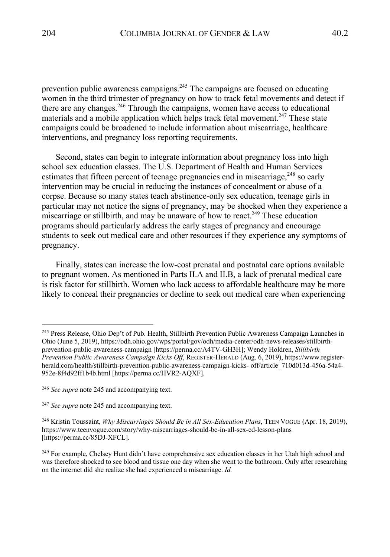prevention public awareness campaigns.<sup>245</sup> The campaigns are focused on educating women in the third trimester of pregnancy on how to track fetal movements and detect if there are any changes.<sup>246</sup> Through the campaigns, women have access to educational materials and a mobile application which helps track fetal movement.<sup>247</sup> These state campaigns could be broadened to include information about miscarriage, healthcare interventions, and pregnancy loss reporting requirements.

Second, states can begin to integrate information about pregnancy loss into high school sex education classes. The U.S. Department of Health and Human Services estimates that fifteen percent of teenage pregnancies end in miscarriage,  $248$  so early intervention may be crucial in reducing the instances of concealment or abuse of a corpse. Because so many states teach abstinence-only sex education, teenage girls in particular may not notice the signs of pregnancy, may be shocked when they experience a miscarriage or stillbirth, and may be unaware of how to react.<sup>249</sup> These education programs should particularly address the early stages of pregnancy and encourage students to seek out medical care and other resources if they experience any symptoms of pregnancy.

Finally, states can increase the low-cost prenatal and postnatal care options available to pregnant women. As mentioned in Parts II.A and II.B, a lack of prenatal medical care is risk factor for stillbirth. Women who lack access to affordable healthcare may be more likely to conceal their pregnancies or decline to seek out medical care when experiencing

<sup>&</sup>lt;sup>245</sup> Press Release, Ohio Dep't of Pub. Health, Stillbirth Prevention Public Awareness Campaign Launches in Ohio (June 5, 2019), https://odh.ohio.gov/wps/portal/gov/odh/media-center/odh-news-releases/stillbirthprevention-public-awareness-campaign [https://perma.cc/A4TV-GH3H]; Wendy Holdren, *Stillbirth Prevention Public Awareness Campaign Kicks Off*, REGISTER-HERALD (Aug. 6, 2019), https://www.registerherald.com/health/stillbirth-prevention-public-awareness-campaign-kicks- off/article\_710d013d-456a-54a4- 952e-8f4d92ff1b4b.html [https://perma.cc/HVR2-AQXF].

<sup>246</sup> *See supra* note 245 and accompanying text.

<sup>247</sup> *See supra* note 245 and accompanying text.

<sup>248</sup> Kristin Toussaint, *Why Miscarriages Should Be in All Sex-Education Plans*, TEEN VOGUE (Apr. 18, 2019), https://www.teenvogue.com/story/why-miscarriages-should-be-in-all-sex-ed-lesson-plans [https://perma.cc/85DJ-XFCL].

<sup>&</sup>lt;sup>249</sup> For example, Chelsey Hunt didn't have comprehensive sex education classes in her Utah high school and was therefore shocked to see blood and tissue one day when she went to the bathroom. Only after researching on the internet did she realize she had experienced a miscarriage. *Id.*